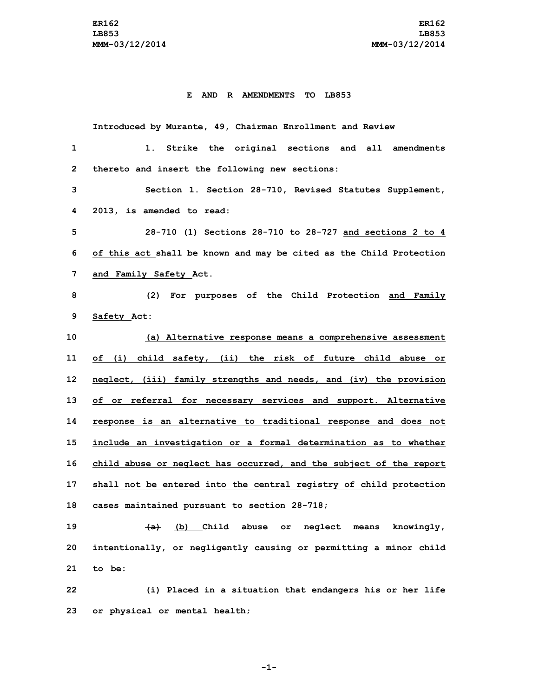## **E AND R AMENDMENTS TO LB853**

**Introduced by Murante, 49, Chairman Enrollment and Review 1. Strike the original sections and all amendments thereto and insert the following new sections: Section 1. Section 28-710, Revised Statutes Supplement, 2013, is amended to read: 28-710 (1) Sections 28-710 to 28-727 and sections 2 to 4 of this act shall be known and may be cited as the Child Protection and Family Safety Act. (2) For purposes of the Child Protection and Family Safety Act: (a) Alternative response means <sup>a</sup> comprehensive assessment of (i) child safety, (ii) the risk of future child abuse or neglect, (iii) family strengths and needs, and (iv) the provision of or referral for necessary services and support. Alternative response is an alternative to traditional response and does not include an investigation or <sup>a</sup> formal determination as to whether child abuse or neglect has occurred, and the subject of the report shall not be entered into the central registry of child protection cases maintained pursuant to section 28-718; (a) (b) Child abuse or neglect means knowingly,**

**20 intentionally, or negligently causing or permitting <sup>a</sup> minor child 21 to be:**

**22 (i) Placed in <sup>a</sup> situation that endangers his or her life 23 or physical or mental health;**

**-1-**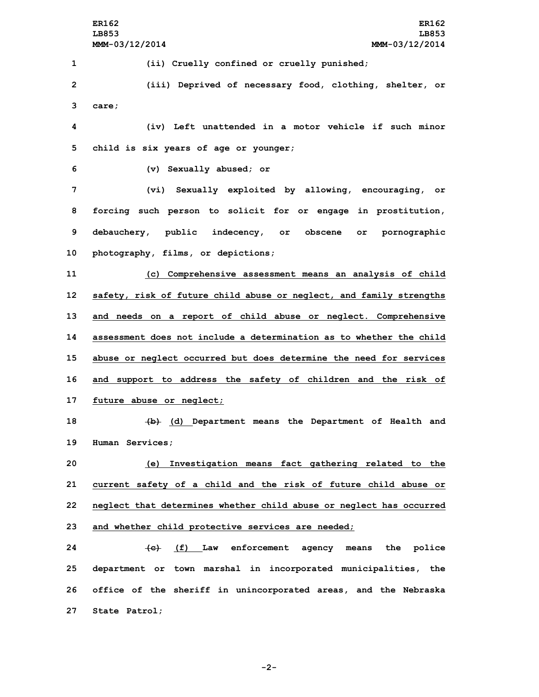**ER162 ER162 LB853 LB853 MMM-03/12/2014 MMM-03/12/2014 (ii) Cruelly confined or cruelly punished; (iii) Deprived of necessary food, clothing, shelter, or 3 care; (iv) Left unattended in <sup>a</sup> motor vehicle if such minor child is six years of age or younger; (v) Sexually abused; or (vi) Sexually exploited by allowing, encouraging, or forcing such person to solicit for or engage in prostitution, debauchery, public indecency, or obscene or pornographic photography, films, or depictions; (c) Comprehensive assessment means an analysis of child safety, risk of future child abuse or neglect, and family strengths and needs on <sup>a</sup> report of child abuse or neglect. Comprehensive assessment does not include a determination as to whether the child abuse or neglect occurred but does determine the need for services and support to address the safety of children and the risk of future abuse or neglect; (b) (d) Department means the Department of Health and Human Services; (e) Investigation means fact gathering related to the current safety of <sup>a</sup> child and the risk of future child abuse or neglect that determines whether child abuse or neglect has occurred and whether child protective services are needed; (c) (f) Law enforcement agency means the police department or town marshal in incorporated municipalities, the office of the sheriff in unincorporated areas, and the Nebraska State Patrol;**

**-2-**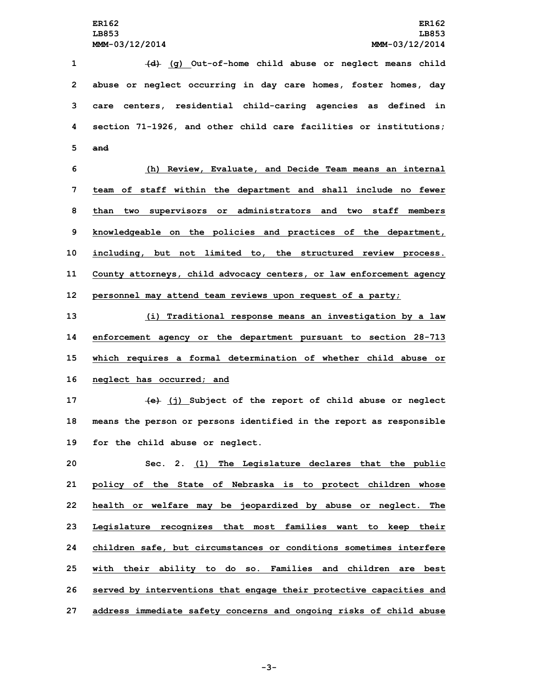**(d) (g) Out-of-home child abuse or neglect means child abuse or neglect occurring in day care homes, foster homes, day care centers, residential child-caring agencies as defined in section 71-1926, and other child care facilities or institutions; 5 and (h) Review, Evaluate, and Decide Team means an internal team of staff within the department and shall include no fewer than two supervisors or administrators and two staff members knowledgeable on the policies and practices of the department,**

**10 including, but not limited to, the structured review process.**

**11 County attorneys, child advocacy centers, or law enforcement agency**

**12 personnel may attend team reviews upon request of <sup>a</sup> party;**

 **(i) Traditional response means an investigation by <sup>a</sup> law enforcement agency or the department pursuant to section 28-713 which requires <sup>a</sup> formal determination of whether child abuse or neglect has occurred; and**

**17 (e) (j) Subject of the report of child abuse or neglect 18 means the person or persons identified in the report as responsible 19 for the child abuse or neglect.**

 **Sec. 2. (1) The Legislature declares that the public policy of the State of Nebraska is to protect children whose health or welfare may be jeopardized by abuse or neglect. The Legislature recognizes that most families want to keep their children safe, but circumstances or conditions sometimes interfere with their ability to do so. Families and children are best served by interventions that engage their protective capacities and address immediate safety concerns and ongoing risks of child abuse**

**-3-**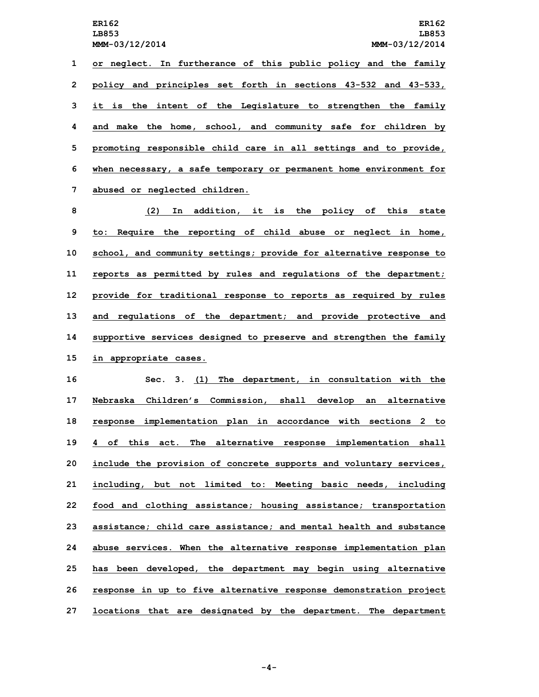**or neglect. In furtherance of this public policy and the family policy and principles set forth in sections 43-532 and 43-533, it is the intent of the Legislature to strengthen the family and make the home, school, and community safe for children by promoting responsible child care in all settings and to provide, when necessary, <sup>a</sup> safe temporary or permanent home environment for abused or neglected children.**

 **(2) In addition, it is the policy of this state to: Require the reporting of child abuse or neglect in home, school, and community settings; provide for alternative response to reports as permitted by rules and regulations of the department; provide for traditional response to reports as required by rules and regulations of the department; and provide protective and supportive services designed to preserve and strengthen the family in appropriate cases.**

 **Sec. 3. (1) The department, in consultation with the Nebraska Children's Commission, shall develop an alternative response implementation plan in accordance with sections 2 to 4 of this act. The alternative response implementation shall include the provision of concrete supports and voluntary services, including, but not limited to: Meeting basic needs, including food and clothing assistance; housing assistance; transportation assistance; child care assistance; and mental health and substance abuse services. When the alternative response implementation plan has been developed, the department may begin using alternative response in up to five alternative response demonstration project locations that are designated by the department. The department**

**-4-**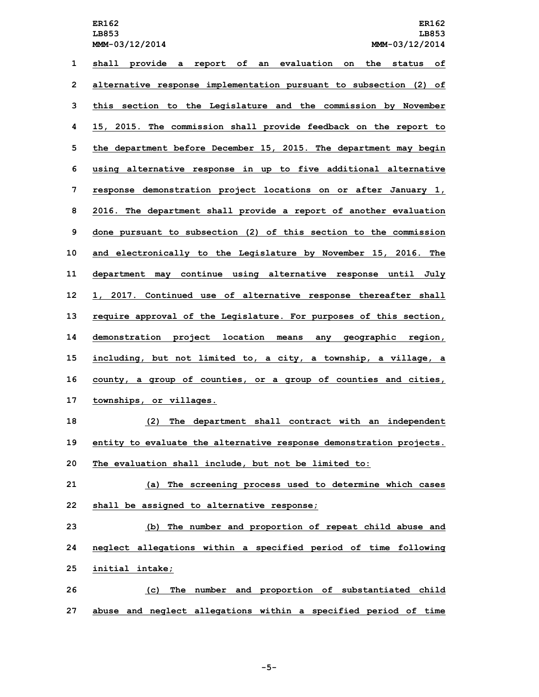**LB853 LB853 MMM-03/12/2014 MMM-03/12/2014**

 **shall provide <sup>a</sup> report of an evaluation on the status of alternative response implementation pursuant to subsection (2) of this section to the Legislature and the commission by November 15, 2015. The commission shall provide feedback on the report to the department before December 15, 2015. The department may begin using alternative response in up to five additional alternative response demonstration project locations on or after January 1, 2016. The department shall provide <sup>a</sup> report of another evaluation done pursuant to subsection (2) of this section to the commission and electronically to the Legislature by November 15, 2016. The department may continue using alternative response until July 1, 2017. Continued use of alternative response thereafter shall require approval of the Legislature. For purposes of this section, demonstration project location means any geographic region, including, but not limited to, <sup>a</sup> city, <sup>a</sup> township, <sup>a</sup> village, <sup>a</sup> county, <sup>a</sup> group of counties, or <sup>a</sup> group of counties and cities, townships, or villages. (2) The department shall contract with an independent entity to evaluate the alternative response demonstration projects. The evaluation shall include, but not be limited to: (a) The screening process used to determine which cases shall be assigned to alternative response; (b) The number and proportion of repeat child abuse and neglect allegations within <sup>a</sup> specified period of time following**

**25 initial intake;**

**26 (c) The number and proportion of substantiated child 27 abuse and neglect allegations within <sup>a</sup> specified period of time**

**-5-**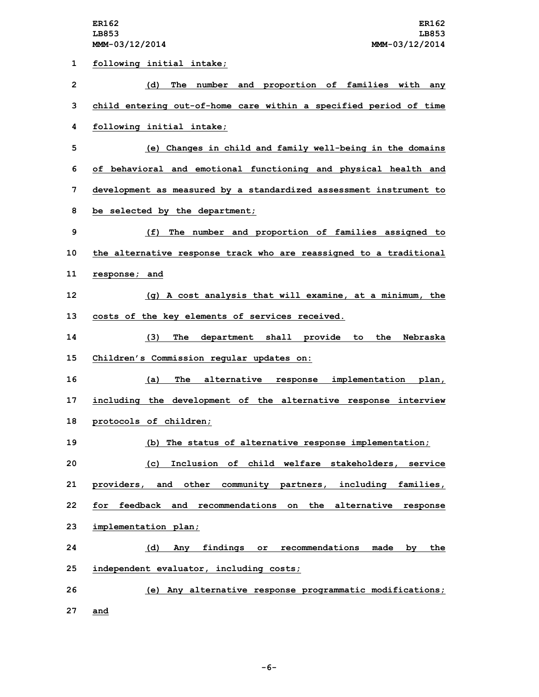| 1  | following initial intake;                                          |
|----|--------------------------------------------------------------------|
| 2  | (d) The number and proportion of families with any                 |
| 3  | child entering out-of-home care within a specified period of time  |
| 4  | following initial intake;                                          |
| 5  | (e) Changes in child and family well-being in the domains          |
| 6  | of behavioral and emotional functioning and physical health and    |
| 7  | development as measured by a standardized assessment instrument to |
| 8  | be selected by the department;                                     |
| 9  | (f) The number and proportion of families assigned to              |
| 10 | the alternative response track who are reassigned to a traditional |
| 11 | response; and                                                      |
| 12 | (g) A cost analysis that will examine, at a minimum, the           |
| 13 | costs of the key elements of services received.                    |
| 14 | (3) The department shall provide to the Nebraska                   |
| 15 | Children's Commission regular updates on:                          |
| 16 | (a) The alternative response implementation plan,                  |
| 17 | including the development of the alternative response interview    |
| 18 | protocols of children;                                             |
| 19 | (b) The status of alternative response implementation;             |
| 20 | (c) Inclusion of child welfare stakeholders, service               |
| 21 | providers, and other community partners, including families,       |
| 22 | for feedback and recommendations on the alternative response       |
| 23 | implementation plan;                                               |
| 24 | (d) Any findings or recommendations made by the                    |
| 25 | independent evaluator, including costs;                            |
| 26 | (e) Any alternative response programmatic modifications;           |
| 27 | and                                                                |

**-6-**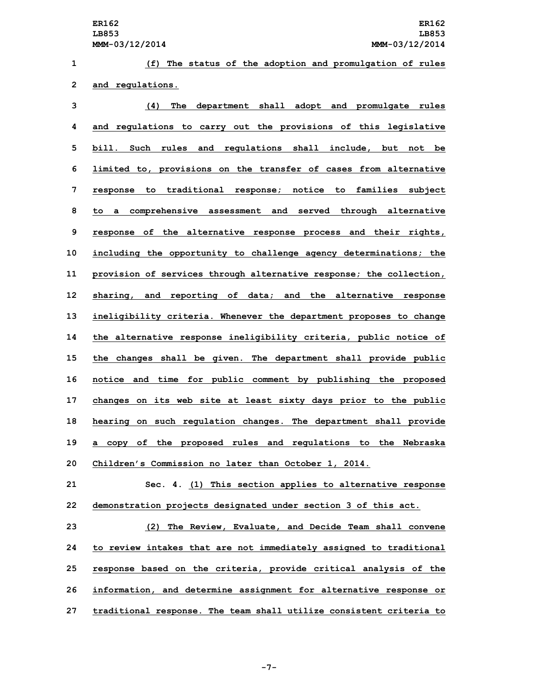**(f) The status of the adoption and promulgation of rules and regulations. (4) The department shall adopt and promulgate rules and regulations to carry out the provisions of this legislative bill. Such rules and regulations shall include, but not be limited to, provisions on the transfer of cases from alternative response to traditional response; notice to families subject to <sup>a</sup> comprehensive assessment and served through alternative response of the alternative response process and their rights, including the opportunity to challenge agency determinations; the provision of services through alternative response; the collection, sharing, and reporting of data; and the alternative response ineligibility criteria. Whenever the department proposes to change the alternative response ineligibility criteria, public notice of the changes shall be given. The department shall provide public notice and time for public comment by publishing the proposed changes on its web site at least sixty days prior to the public hearing on such regulation changes. The department shall provide <sup>a</sup> copy of the proposed rules and regulations to the Nebraska Children's Commission no later than October 1, 2014. Sec. 4. (1) This section applies to alternative response demonstration projects designated under section 3 of this act.**

 **(2) The Review, Evaluate, and Decide Team shall convene to review intakes that are not immediately assigned to traditional response based on the criteria, provide critical analysis of the information, and determine assignment for alternative response or traditional response. The team shall utilize consistent criteria to**

**-7-**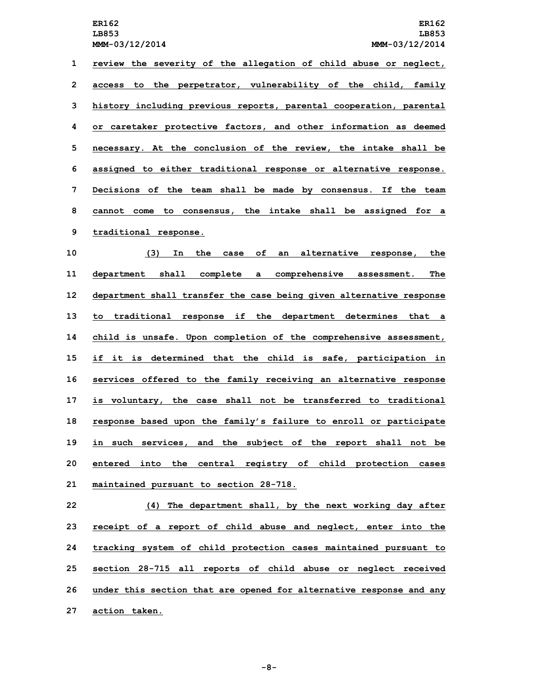**review the severity of the allegation of child abuse or neglect, access to the perpetrator, vulnerability of the child, family history including previous reports, parental cooperation, parental or caretaker protective factors, and other information as deemed necessary. At the conclusion of the review, the intake shall be assigned to either traditional response or alternative response. Decisions of the team shall be made by consensus. If the team cannot come to consensus, the intake shall be assigned for <sup>a</sup> traditional response.**

 **(3) In the case of an alternative response, the department shall complete <sup>a</sup> comprehensive assessment. The department shall transfer the case being given alternative response to traditional response if the department determines that <sup>a</sup> child is unsafe. Upon completion of the comprehensive assessment, if it is determined that the child is safe, participation in services offered to the family receiving an alternative response is voluntary, the case shall not be transferred to traditional response based upon the family's failure to enroll or participate in such services, and the subject of the report shall not be entered into the central registry of child protection cases maintained pursuant to section 28-718.**

 **(4) The department shall, by the next working day after receipt of <sup>a</sup> report of child abuse and neglect, enter into the tracking system of child protection cases maintained pursuant to section 28-715 all reports of child abuse or neglect received under this section that are opened for alternative response and any action taken.**

**-8-**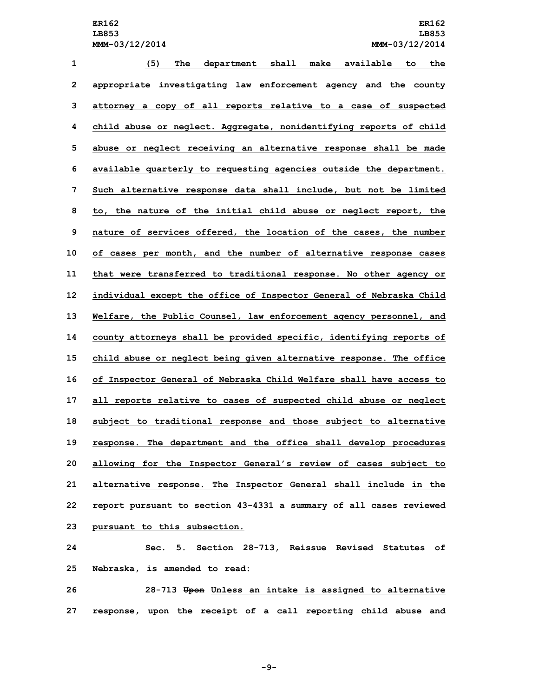**(5) The department shall make available to the appropriate investigating law enforcement agency and the county attorney <sup>a</sup> copy of all reports relative to <sup>a</sup> case of suspected child abuse or neglect. Aggregate, nonidentifying reports of child abuse or neglect receiving an alternative response shall be made available quarterly to requesting agencies outside the department. Such alternative response data shall include, but not be limited to, the nature of the initial child abuse or neglect report, the nature of services offered, the location of the cases, the number of cases per month, and the number of alternative response cases that were transferred to traditional response. No other agency or individual except the office of Inspector General of Nebraska Child Welfare, the Public Counsel, law enforcement agency personnel, and county attorneys shall be provided specific, identifying reports of child abuse or neglect being given alternative response. The office of Inspector General of Nebraska Child Welfare shall have access to all reports relative to cases of suspected child abuse or neglect subject to traditional response and those subject to alternative response. The department and the office shall develop procedures allowing for the Inspector General's review of cases subject to alternative response. The Inspector General shall include in the report pursuant to section 43-4331 <sup>a</sup> summary of all cases reviewed pursuant to this subsection. Sec. 5. Section 28-713, Reissue Revised Statutes of Nebraska, is amended to read:**

**26 28-713 Upon Unless an intake is assigned to alternative 27 response, upon the receipt of <sup>a</sup> call reporting child abuse and**

**-9-**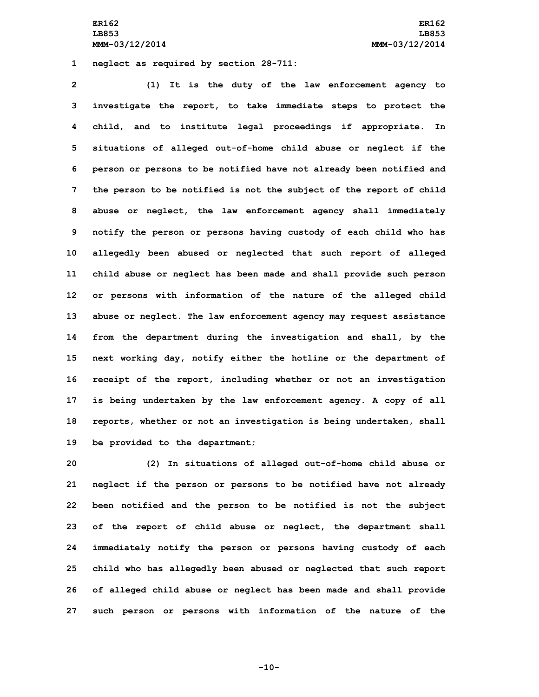**1 neglect as required by section 28-711:**

 **(1) It is the duty of the law enforcement agency to investigate the report, to take immediate steps to protect the child, and to institute legal proceedings if appropriate. In situations of alleged out-of-home child abuse or neglect if the person or persons to be notified have not already been notified and the person to be notified is not the subject of the report of child abuse or neglect, the law enforcement agency shall immediately notify the person or persons having custody of each child who has allegedly been abused or neglected that such report of alleged child abuse or neglect has been made and shall provide such person or persons with information of the nature of the alleged child abuse or neglect. The law enforcement agency may request assistance from the department during the investigation and shall, by the next working day, notify either the hotline or the department of receipt of the report, including whether or not an investigation is being undertaken by the law enforcement agency. <sup>A</sup> copy of all reports, whether or not an investigation is being undertaken, shall be provided to the department;**

 **(2) In situations of alleged out-of-home child abuse or neglect if the person or persons to be notified have not already been notified and the person to be notified is not the subject of the report of child abuse or neglect, the department shall immediately notify the person or persons having custody of each child who has allegedly been abused or neglected that such report of alleged child abuse or neglect has been made and shall provide such person or persons with information of the nature of the**

**-10-**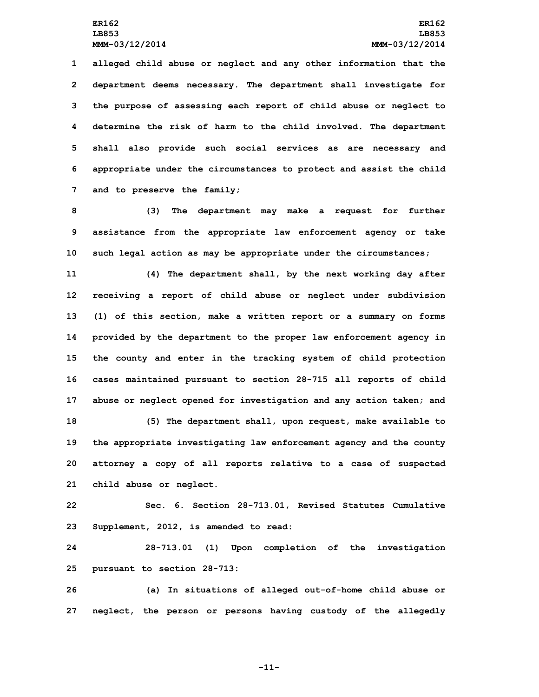**alleged child abuse or neglect and any other information that the department deems necessary. The department shall investigate for the purpose of assessing each report of child abuse or neglect to determine the risk of harm to the child involved. The department shall also provide such social services as are necessary and appropriate under the circumstances to protect and assist the child and to preserve the family;**

**8 (3) The department may make <sup>a</sup> request for further 9 assistance from the appropriate law enforcement agency or take 10 such legal action as may be appropriate under the circumstances;**

 **(4) The department shall, by the next working day after receiving <sup>a</sup> report of child abuse or neglect under subdivision (1) of this section, make <sup>a</sup> written report or <sup>a</sup> summary on forms provided by the department to the proper law enforcement agency in the county and enter in the tracking system of child protection cases maintained pursuant to section 28-715 all reports of child abuse or neglect opened for investigation and any action taken; and (5) The department shall, upon request, make available to the appropriate investigating law enforcement agency and the county attorney <sup>a</sup> copy of all reports relative to <sup>a</sup> case of suspected child abuse or neglect.**

**22 Sec. 6. Section 28-713.01, Revised Statutes Cumulative 23 Supplement, 2012, is amended to read:**

**24 28-713.01 (1) Upon completion of the investigation 25 pursuant to section 28-713:**

**26 (a) In situations of alleged out-of-home child abuse or 27 neglect, the person or persons having custody of the allegedly**

**-11-**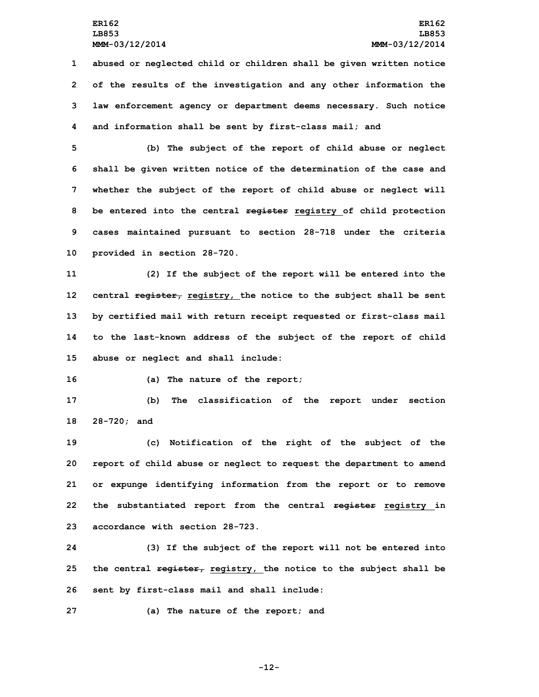**abused or neglected child or children shall be given written notice of the results of the investigation and any other information the law enforcement agency or department deems necessary. Such notice and information shall be sent by first-class mail; and**

 **(b) The subject of the report of child abuse or neglect shall be given written notice of the determination of the case and whether the subject of the report of child abuse or neglect will be entered into the central register registry of child protection cases maintained pursuant to section 28-718 under the criteria provided in section 28-720.**

 **(2) If the subject of the report will be entered into the central register, registry, the notice to the subject shall be sent by certified mail with return receipt requested or first-class mail to the last-known address of the subject of the report of child abuse or neglect and shall include:**

**16 (a) The nature of the report;**

**17 (b) The classification of the report under section 18 28-720; and**

 **(c) Notification of the right of the subject of the report of child abuse or neglect to request the department to amend or expunge identifying information from the report or to remove the substantiated report from the central register registry in accordance with section 28-723.**

**24 (3) If the subject of the report will not be entered into 25 the central register, registry, the notice to the subject shall be 26 sent by first-class mail and shall include:**

**27 (a) The nature of the report; and**

**-12-**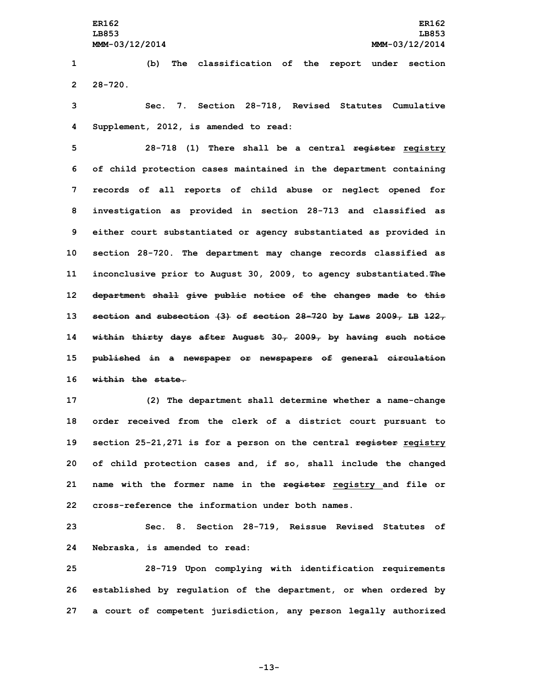**1 (b) The classification of the report under section 2 28-720.**

**3 Sec. 7. Section 28-718, Revised Statutes Cumulative 4 Supplement, 2012, is amended to read:**

 **28-718 (1) There shall be <sup>a</sup> central register registry of child protection cases maintained in the department containing records of all reports of child abuse or neglect opened for investigation as provided in section 28-713 and classified as either court substantiated or agency substantiated as provided in section 28-720. The department may change records classified as inconclusive prior to August 30, 2009, to agency substantiated.The department shall give public notice of the changes made to this section and subsection (3) of section 28-720 by Laws 2009, LB 122, within thirty days after August 30, 2009, by having such notice published in <sup>a</sup> newspaper or newspapers of general circulation within the state.**

 **(2) The department shall determine whether <sup>a</sup> name-change order received from the clerk of <sup>a</sup> district court pursuant to section 25-21,271 is for <sup>a</sup> person on the central register registry of child protection cases and, if so, shall include the changed name with the former name in the register registry and file or cross-reference the information under both names.**

**23 Sec. 8. Section 28-719, Reissue Revised Statutes of 24 Nebraska, is amended to read:**

**25 28-719 Upon complying with identification requirements 26 established by regulation of the department, or when ordered by 27 <sup>a</sup> court of competent jurisdiction, any person legally authorized**

**-13-**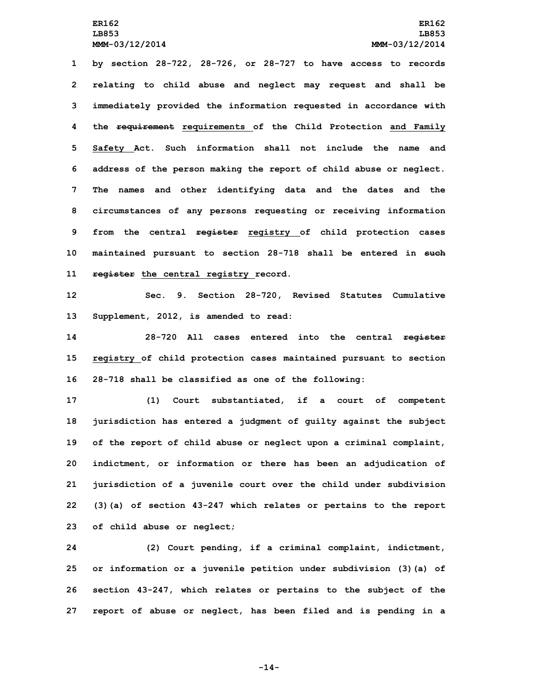**by section 28-722, 28-726, or 28-727 to have access to records relating to child abuse and neglect may request and shall be immediately provided the information requested in accordance with the requirement requirements of the Child Protection and Family Safety Act. Such information shall not include the name and address of the person making the report of child abuse or neglect. The names and other identifying data and the dates and the circumstances of any persons requesting or receiving information from the central register registry of child protection cases maintained pursuant to section 28-718 shall be entered in such register the central registry record.**

**12 Sec. 9. Section 28-720, Revised Statutes Cumulative 13 Supplement, 2012, is amended to read:**

**14 28-720 All cases entered into the central register 15 registry of child protection cases maintained pursuant to section 16 28-718 shall be classified as one of the following:**

 **(1) Court substantiated, if <sup>a</sup> court of competent jurisdiction has entered <sup>a</sup> judgment of guilty against the subject of the report of child abuse or neglect upon <sup>a</sup> criminal complaint, indictment, or information or there has been an adjudication of jurisdiction of <sup>a</sup> juvenile court over the child under subdivision (3)(a) of section 43-247 which relates or pertains to the report of child abuse or neglect;**

 **(2) Court pending, if <sup>a</sup> criminal complaint, indictment, or information or <sup>a</sup> juvenile petition under subdivision (3)(a) of section 43-247, which relates or pertains to the subject of the report of abuse or neglect, has been filed and is pending in <sup>a</sup>**

**-14-**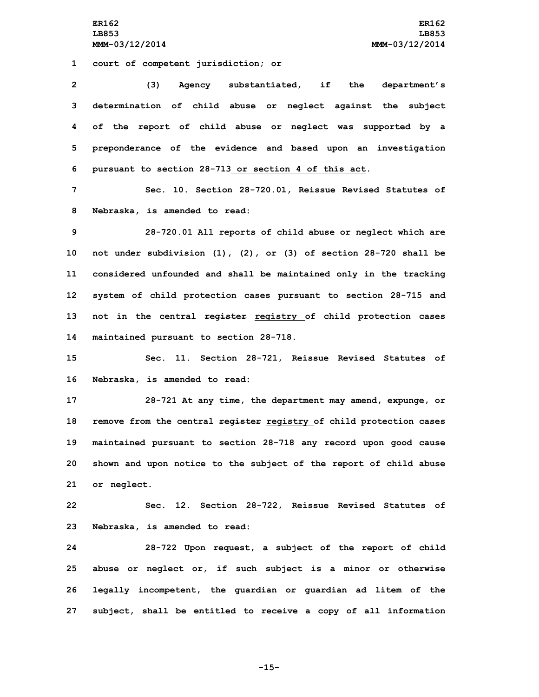**1 court of competent jurisdiction; or**

 **(3) Agency substantiated, if the department's determination of child abuse or neglect against the subject of the report of child abuse or neglect was supported by <sup>a</sup> preponderance of the evidence and based upon an investigation pursuant to section 28-713 or section 4 of this act.**

**7 Sec. 10. Section 28-720.01, Reissue Revised Statutes of 8 Nebraska, is amended to read:**

 **28-720.01 All reports of child abuse or neglect which are not under subdivision (1), (2), or (3) of section 28-720 shall be considered unfounded and shall be maintained only in the tracking system of child protection cases pursuant to section 28-715 and not in the central register registry of child protection cases maintained pursuant to section 28-718.**

**15 Sec. 11. Section 28-721, Reissue Revised Statutes of 16 Nebraska, is amended to read:**

 **28-721 At any time, the department may amend, expunge, or remove from the central register registry of child protection cases maintained pursuant to section 28-718 any record upon good cause shown and upon notice to the subject of the report of child abuse or neglect.**

**22 Sec. 12. Section 28-722, Reissue Revised Statutes of 23 Nebraska, is amended to read:**

 **28-722 Upon request, <sup>a</sup> subject of the report of child abuse or neglect or, if such subject is <sup>a</sup> minor or otherwise legally incompetent, the guardian or guardian ad litem of the subject, shall be entitled to receive <sup>a</sup> copy of all information**

**-15-**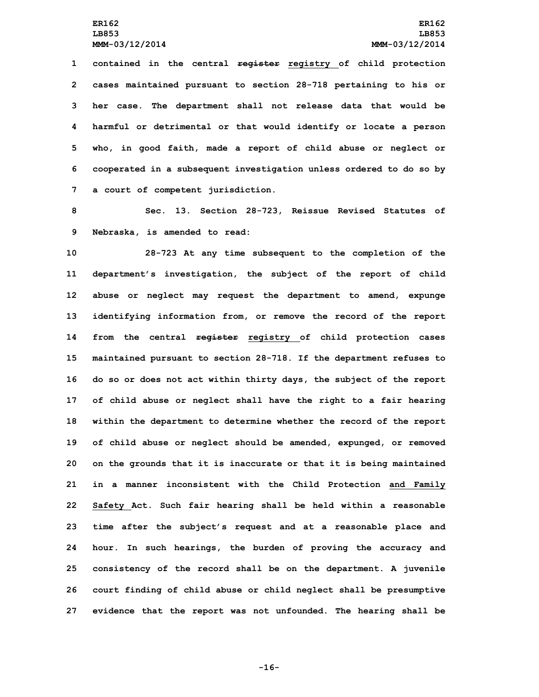**contained in the central register registry of child protection cases maintained pursuant to section 28-718 pertaining to his or her case. The department shall not release data that would be harmful or detrimental or that would identify or locate <sup>a</sup> person who, in good faith, made <sup>a</sup> report of child abuse or neglect or cooperated in <sup>a</sup> subsequent investigation unless ordered to do so by <sup>a</sup> court of competent jurisdiction.**

**8 Sec. 13. Section 28-723, Reissue Revised Statutes of 9 Nebraska, is amended to read:**

 **28-723 At any time subsequent to the completion of the department's investigation, the subject of the report of child abuse or neglect may request the department to amend, expunge identifying information from, or remove the record of the report from the central register registry of child protection cases maintained pursuant to section 28-718. If the department refuses to do so or does not act within thirty days, the subject of the report of child abuse or neglect shall have the right to <sup>a</sup> fair hearing within the department to determine whether the record of the report of child abuse or neglect should be amended, expunged, or removed on the grounds that it is inaccurate or that it is being maintained in <sup>a</sup> manner inconsistent with the Child Protection and Family Safety Act. Such fair hearing shall be held within <sup>a</sup> reasonable time after the subject's request and at <sup>a</sup> reasonable place and hour. In such hearings, the burden of proving the accuracy and consistency of the record shall be on the department. <sup>A</sup> juvenile court finding of child abuse or child neglect shall be presumptive evidence that the report was not unfounded. The hearing shall be**

**-16-**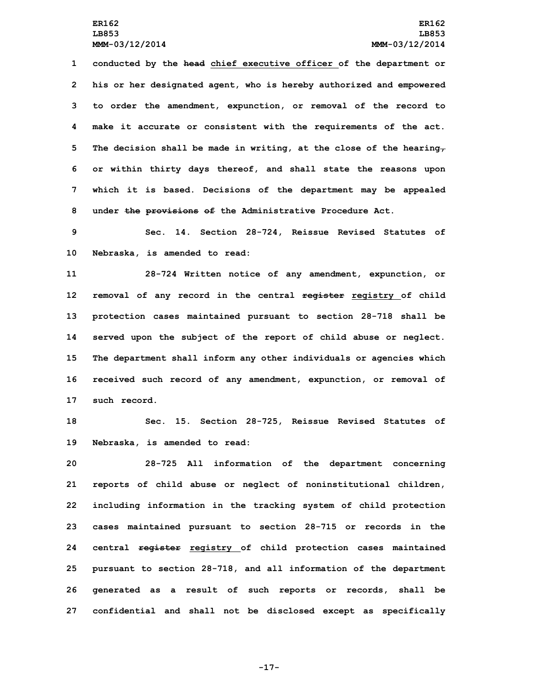**conducted by the head chief executive officer of the department or his or her designated agent, who is hereby authorized and empowered to order the amendment, expunction, or removal of the record to make it accurate or consistent with the requirements of the act. The decision shall be made in writing, at the close of the hearing, or within thirty days thereof, and shall state the reasons upon which it is based. Decisions of the department may be appealed under the provisions of the Administrative Procedure Act.**

**9 Sec. 14. Section 28-724, Reissue Revised Statutes of 10 Nebraska, is amended to read:**

 **28-724 Written notice of any amendment, expunction, or removal of any record in the central register registry of child protection cases maintained pursuant to section 28-718 shall be served upon the subject of the report of child abuse or neglect. The department shall inform any other individuals or agencies which received such record of any amendment, expunction, or removal of such record.**

**18 Sec. 15. Section 28-725, Reissue Revised Statutes of 19 Nebraska, is amended to read:**

 **28-725 All information of the department concerning reports of child abuse or neglect of noninstitutional children, including information in the tracking system of child protection cases maintained pursuant to section 28-715 or records in the central register registry of child protection cases maintained pursuant to section 28-718, and all information of the department generated as <sup>a</sup> result of such reports or records, shall be confidential and shall not be disclosed except as specifically**

**-17-**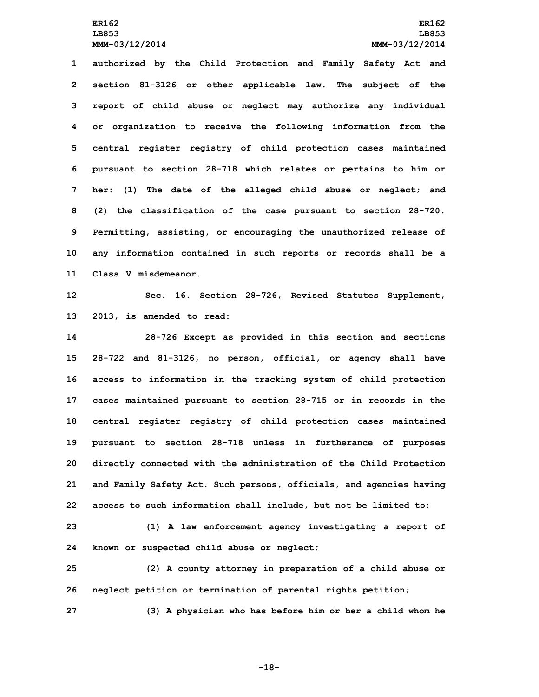**LB853 LB853**

 **authorized by the Child Protection and Family Safety Act and section 81-3126 or other applicable law. The subject of the report of child abuse or neglect may authorize any individual or organization to receive the following information from the central register registry of child protection cases maintained pursuant to section 28-718 which relates or pertains to him or her: (1) The date of the alleged child abuse or neglect; and (2) the classification of the case pursuant to section 28-720. Permitting, assisting, or encouraging the unauthorized release of any information contained in such reports or records shall be <sup>a</sup> Class V misdemeanor.**

**12 Sec. 16. Section 28-726, Revised Statutes Supplement, 13 2013, is amended to read:**

 **28-726 Except as provided in this section and sections 28-722 and 81-3126, no person, official, or agency shall have access to information in the tracking system of child protection cases maintained pursuant to section 28-715 or in records in the central register registry of child protection cases maintained pursuant to section 28-718 unless in furtherance of purposes directly connected with the administration of the Child Protection and Family Safety Act. Such persons, officials, and agencies having access to such information shall include, but not be limited to:**

**23 (1) <sup>A</sup> law enforcement agency investigating <sup>a</sup> report of 24 known or suspected child abuse or neglect;**

**25 (2) <sup>A</sup> county attorney in preparation of <sup>a</sup> child abuse or 26 neglect petition or termination of parental rights petition;**

**27 (3) <sup>A</sup> physician who has before him or her <sup>a</sup> child whom he**

**-18-**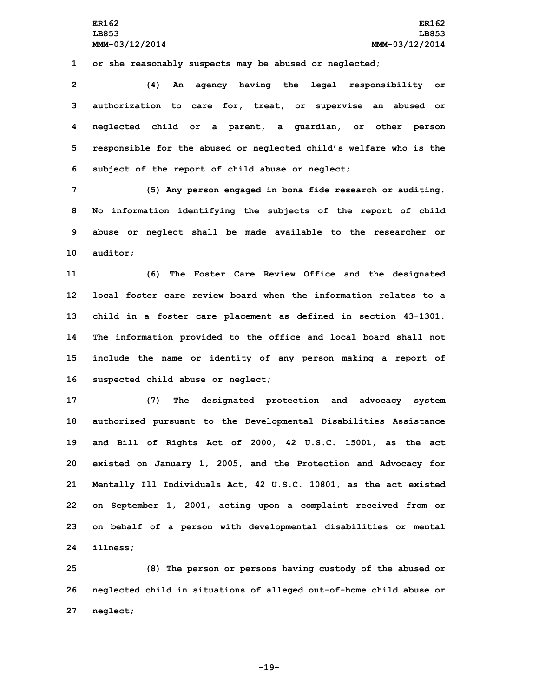**1 or she reasonably suspects may be abused or neglected;**

 **(4) An agency having the legal responsibility or authorization to care for, treat, or supervise an abused or neglected child or <sup>a</sup> parent, <sup>a</sup> guardian, or other person responsible for the abused or neglected child's welfare who is the subject of the report of child abuse or neglect;**

 **(5) Any person engaged in bona fide research or auditing. No information identifying the subjects of the report of child abuse or neglect shall be made available to the researcher or 10 auditor;**

 **(6) The Foster Care Review Office and the designated local foster care review board when the information relates to a child in <sup>a</sup> foster care placement as defined in section 43-1301. The information provided to the office and local board shall not include the name or identity of any person making <sup>a</sup> report of suspected child abuse or neglect;**

 **(7) The designated protection and advocacy system authorized pursuant to the Developmental Disabilities Assistance and Bill of Rights Act of 2000, 42 U.S.C. 15001, as the act existed on January 1, 2005, and the Protection and Advocacy for Mentally Ill Individuals Act, 42 U.S.C. 10801, as the act existed on September 1, 2001, acting upon <sup>a</sup> complaint received from or on behalf of <sup>a</sup> person with developmental disabilities or mental 24 illness;**

**25 (8) The person or persons having custody of the abused or 26 neglected child in situations of alleged out-of-home child abuse or 27 neglect;**

**-19-**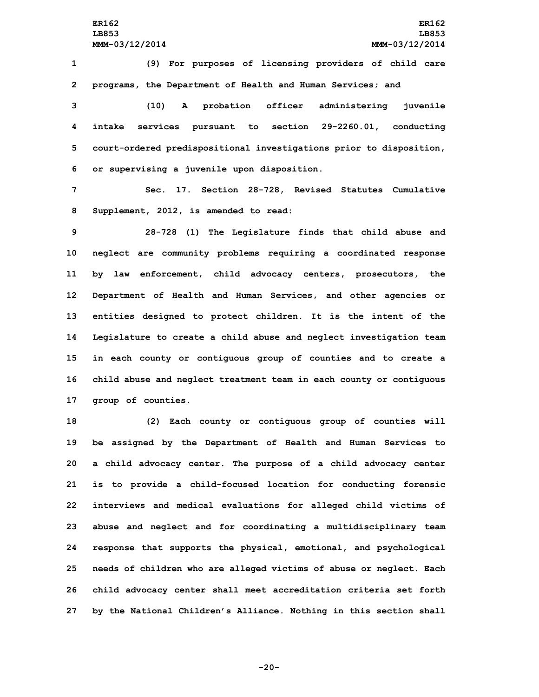**1 (9) For purposes of licensing providers of child care 2 programs, the Department of Health and Human Services; and**

 **(10) <sup>A</sup> probation officer administering juvenile intake services pursuant to section 29-2260.01, conducting court-ordered predispositional investigations prior to disposition, or supervising <sup>a</sup> juvenile upon disposition.**

**7 Sec. 17. Section 28-728, Revised Statutes Cumulative 8 Supplement, 2012, is amended to read:**

 **28-728 (1) The Legislature finds that child abuse and neglect are community problems requiring <sup>a</sup> coordinated response by law enforcement, child advocacy centers, prosecutors, the Department of Health and Human Services, and other agencies or entities designed to protect children. It is the intent of the Legislature to create <sup>a</sup> child abuse and neglect investigation team in each county or contiguous group of counties and to create <sup>a</sup> child abuse and neglect treatment team in each county or contiguous group of counties.**

 **(2) Each county or contiguous group of counties will be assigned by the Department of Health and Human Services to <sup>a</sup> child advocacy center. The purpose of <sup>a</sup> child advocacy center is to provide <sup>a</sup> child-focused location for conducting forensic interviews and medical evaluations for alleged child victims of abuse and neglect and for coordinating <sup>a</sup> multidisciplinary team response that supports the physical, emotional, and psychological needs of children who are alleged victims of abuse or neglect. Each child advocacy center shall meet accreditation criteria set forth by the National Children's Alliance. Nothing in this section shall**

**-20-**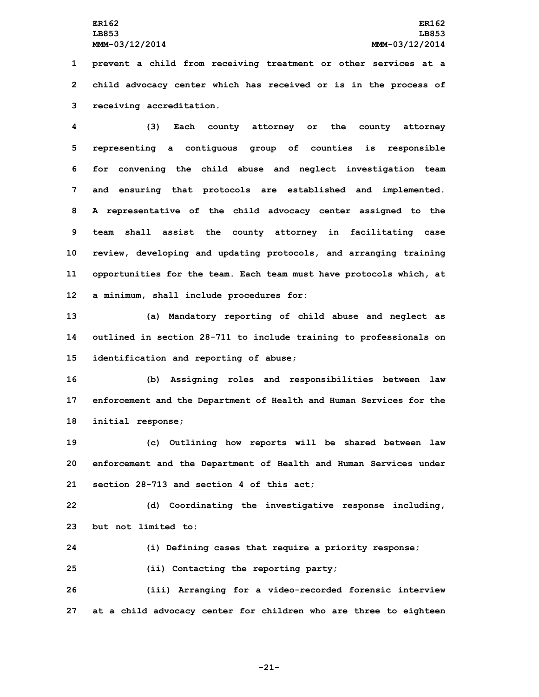**1 prevent <sup>a</sup> child from receiving treatment or other services at <sup>a</sup> 2 child advocacy center which has received or is in the process of 3 receiving accreditation.**

 **(3) Each county attorney or the county attorney representing <sup>a</sup> contiguous group of counties is responsible for convening the child abuse and neglect investigation team and ensuring that protocols are established and implemented. <sup>A</sup> representative of the child advocacy center assigned to the team shall assist the county attorney in facilitating case review, developing and updating protocols, and arranging training opportunities for the team. Each team must have protocols which, at <sup>a</sup> minimum, shall include procedures for:**

**13 (a) Mandatory reporting of child abuse and neglect as 14 outlined in section 28-711 to include training to professionals on 15 identification and reporting of abuse;**

**16 (b) Assigning roles and responsibilities between law 17 enforcement and the Department of Health and Human Services for the 18 initial response;**

**19 (c) Outlining how reports will be shared between law 20 enforcement and the Department of Health and Human Services under 21 section 28-713 and section 4 of this act;**

**22 (d) Coordinating the investigative response including, 23 but not limited to:**

**24 (i) Defining cases that require <sup>a</sup> priority response;**

**25 (ii) Contacting the reporting party;**

**26 (iii) Arranging for <sup>a</sup> video-recorded forensic interview 27 at <sup>a</sup> child advocacy center for children who are three to eighteen**

**-21-**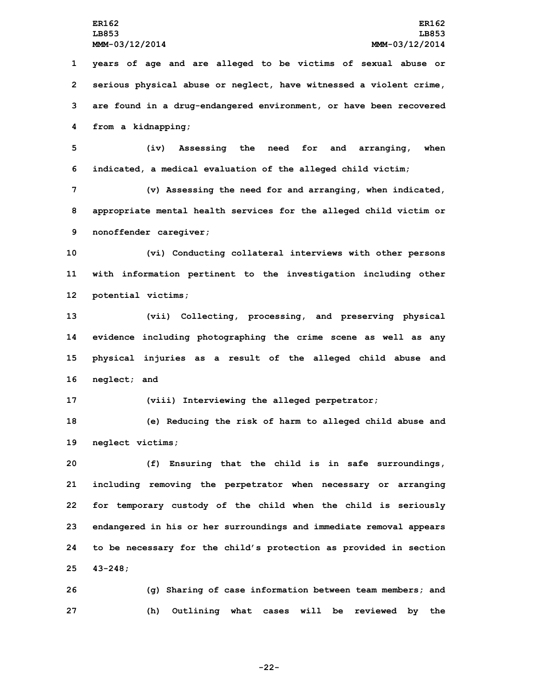**years of age and are alleged to be victims of sexual abuse or serious physical abuse or neglect, have witnessed <sup>a</sup> violent crime, are found in <sup>a</sup> drug-endangered environment, or have been recovered from <sup>a</sup> kidnapping;**

**5 (iv) Assessing the need for and arranging, when 6 indicated, <sup>a</sup> medical evaluation of the alleged child victim;**

**7 (v) Assessing the need for and arranging, when indicated, 8 appropriate mental health services for the alleged child victim or 9 nonoffender caregiver;**

**10 (vi) Conducting collateral interviews with other persons 11 with information pertinent to the investigation including other 12 potential victims;**

 **(vii) Collecting, processing, and preserving physical evidence including photographing the crime scene as well as any physical injuries as <sup>a</sup> result of the alleged child abuse and neglect; and**

**17 (viii) Interviewing the alleged perpetrator;**

**18 (e) Reducing the risk of harm to alleged child abuse and 19 neglect victims;**

 **(f) Ensuring that the child is in safe surroundings, including removing the perpetrator when necessary or arranging for temporary custody of the child when the child is seriously endangered in his or her surroundings and immediate removal appears to be necessary for the child's protection as provided in section 25 43-248;**

**26 (g) Sharing of case information between team members; and 27 (h) Outlining what cases will be reviewed by the**

**-22-**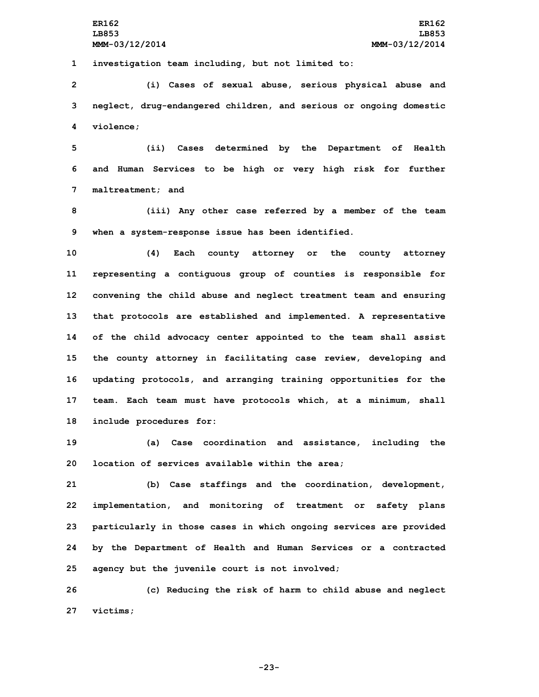**1 investigation team including, but not limited to:**

**2 (i) Cases of sexual abuse, serious physical abuse and 3 neglect, drug-endangered children, and serious or ongoing domestic 4 violence;**

**5 (ii) Cases determined by the Department of Health 6 and Human Services to be high or very high risk for further 7 maltreatment; and**

**8 (iii) Any other case referred by <sup>a</sup> member of the team 9 when <sup>a</sup> system-response issue has been identified.**

 **(4) Each county attorney or the county attorney representing <sup>a</sup> contiguous group of counties is responsible for convening the child abuse and neglect treatment team and ensuring that protocols are established and implemented. <sup>A</sup> representative of the child advocacy center appointed to the team shall assist the county attorney in facilitating case review, developing and updating protocols, and arranging training opportunities for the team. Each team must have protocols which, at <sup>a</sup> minimum, shall include procedures for:**

**19 (a) Case coordination and assistance, including the 20 location of services available within the area;**

 **(b) Case staffings and the coordination, development, implementation, and monitoring of treatment or safety plans particularly in those cases in which ongoing services are provided by the Department of Health and Human Services or <sup>a</sup> contracted agency but the juvenile court is not involved;**

**26 (c) Reducing the risk of harm to child abuse and neglect 27 victims;**

**-23-**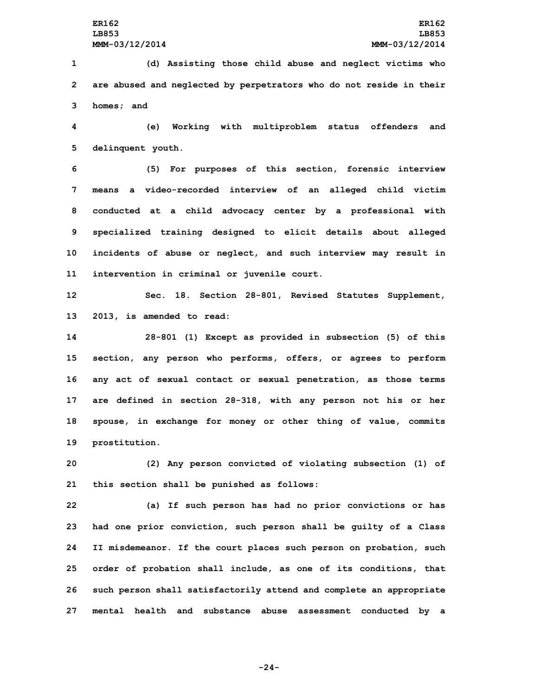**1 (d) Assisting those child abuse and neglect victims who 2 are abused and neglected by perpetrators who do not reside in their 3 homes; and**

**4 (e) Working with multiproblem status offenders and 5 delinquent youth.**

 **(5) For purposes of this section, forensic interview means <sup>a</sup> video-recorded interview of an alleged child victim conducted at <sup>a</sup> child advocacy center by <sup>a</sup> professional with specialized training designed to elicit details about alleged incidents of abuse or neglect, and such interview may result in intervention in criminal or juvenile court.**

**12 Sec. 18. Section 28-801, Revised Statutes Supplement, 13 2013, is amended to read:**

 **28-801 (1) Except as provided in subsection (5) of this section, any person who performs, offers, or agrees to perform any act of sexual contact or sexual penetration, as those terms are defined in section 28-318, with any person not his or her spouse, in exchange for money or other thing of value, commits prostitution.**

**20 (2) Any person convicted of violating subsection (1) of 21 this section shall be punished as follows:**

 **(a) If such person has had no prior convictions or has had one prior conviction, such person shall be guilty of <sup>a</sup> Class II misdemeanor. If the court places such person on probation, such order of probation shall include, as one of its conditions, that such person shall satisfactorily attend and complete an appropriate mental health and substance abuse assessment conducted by <sup>a</sup>**

**-24-**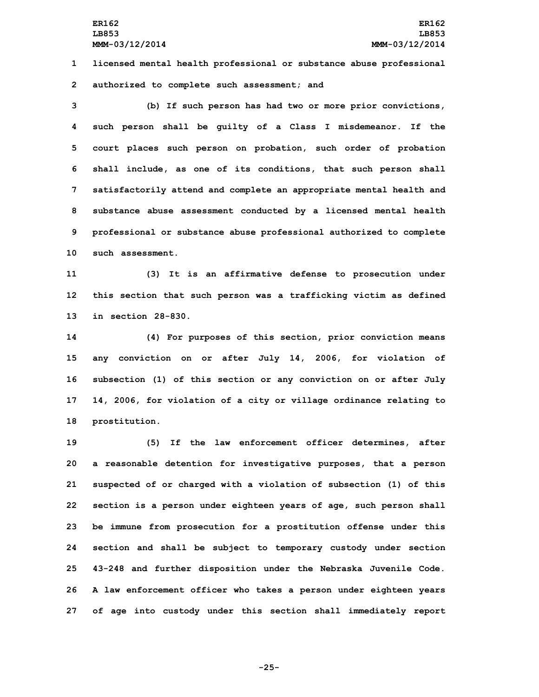**1 licensed mental health professional or substance abuse professional 2 authorized to complete such assessment; and**

 **(b) If such person has had two or more prior convictions, such person shall be guilty of <sup>a</sup> Class I misdemeanor. If the court places such person on probation, such order of probation shall include, as one of its conditions, that such person shall satisfactorily attend and complete an appropriate mental health and substance abuse assessment conducted by <sup>a</sup> licensed mental health professional or substance abuse professional authorized to complete such assessment.**

**11 (3) It is an affirmative defense to prosecution under 12 this section that such person was <sup>a</sup> trafficking victim as defined 13 in section 28-830.**

 **(4) For purposes of this section, prior conviction means any conviction on or after July 14, 2006, for violation of subsection (1) of this section or any conviction on or after July 14, 2006, for violation of <sup>a</sup> city or village ordinance relating to prostitution.**

 **(5) If the law enforcement officer determines, after <sup>a</sup> reasonable detention for investigative purposes, that <sup>a</sup> person suspected of or charged with <sup>a</sup> violation of subsection (1) of this section is <sup>a</sup> person under eighteen years of age, such person shall be immune from prosecution for <sup>a</sup> prostitution offense under this section and shall be subject to temporary custody under section 43-248 and further disposition under the Nebraska Juvenile Code. <sup>A</sup> law enforcement officer who takes <sup>a</sup> person under eighteen years of age into custody under this section shall immediately report**

**-25-**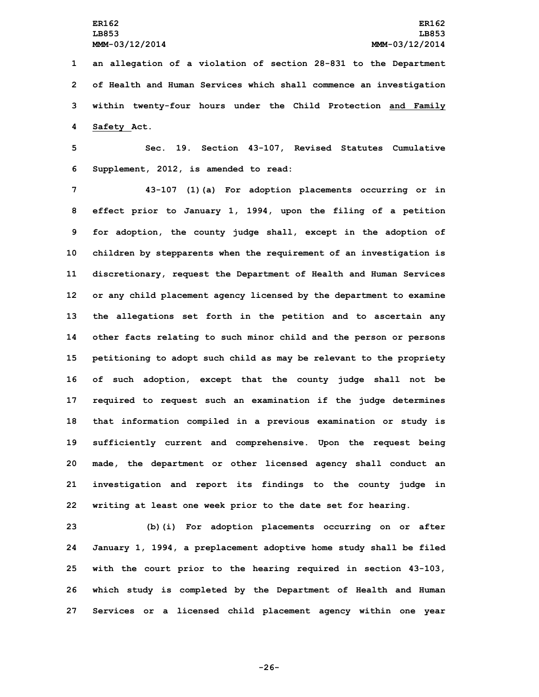**an allegation of <sup>a</sup> violation of section 28-831 to the Department of Health and Human Services which shall commence an investigation within twenty-four hours under the Child Protection and Family Safety Act.**

**5 Sec. 19. Section 43-107, Revised Statutes Cumulative 6 Supplement, 2012, is amended to read:**

 **43-107 (1)(a) For adoption placements occurring or in effect prior to January 1, 1994, upon the filing of <sup>a</sup> petition for adoption, the county judge shall, except in the adoption of children by stepparents when the requirement of an investigation is discretionary, request the Department of Health and Human Services or any child placement agency licensed by the department to examine the allegations set forth in the petition and to ascertain any other facts relating to such minor child and the person or persons petitioning to adopt such child as may be relevant to the propriety of such adoption, except that the county judge shall not be required to request such an examination if the judge determines that information compiled in <sup>a</sup> previous examination or study is sufficiently current and comprehensive. Upon the request being made, the department or other licensed agency shall conduct an investigation and report its findings to the county judge in writing at least one week prior to the date set for hearing.**

 **(b)(i) For adoption placements occurring on or after January 1, 1994, <sup>a</sup> preplacement adoptive home study shall be filed with the court prior to the hearing required in section 43-103, which study is completed by the Department of Health and Human Services or <sup>a</sup> licensed child placement agency within one year**

**-26-**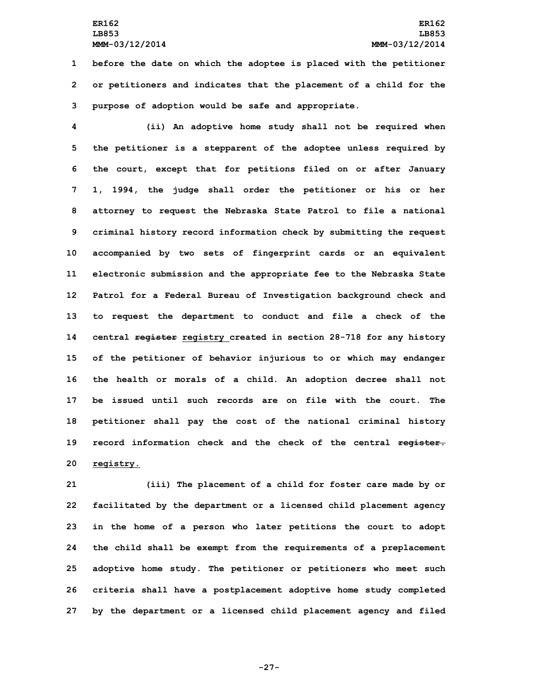## **ER162 ER162 LB853 LB853 MMM-03/12/2014 MMM-03/12/2014**

**1 before the date on which the adoptee is placed with the petitioner 2 or petitioners and indicates that the placement of <sup>a</sup> child for the 3 purpose of adoption would be safe and appropriate.**

 **(ii) An adoptive home study shall not be required when the petitioner is <sup>a</sup> stepparent of the adoptee unless required by the court, except that for petitions filed on or after January 1, 1994, the judge shall order the petitioner or his or her attorney to request the Nebraska State Patrol to file <sup>a</sup> national criminal history record information check by submitting the request accompanied by two sets of fingerprint cards or an equivalent electronic submission and the appropriate fee to the Nebraska State Patrol for <sup>a</sup> Federal Bureau of Investigation background check and to request the department to conduct and file <sup>a</sup> check of the central register registry created in section 28-718 for any history of the petitioner of behavior injurious to or which may endanger the health or morals of <sup>a</sup> child. An adoption decree shall not be issued until such records are on file with the court. The petitioner shall pay the cost of the national criminal history record information check and the check of the central register. registry.**

 **(iii) The placement of <sup>a</sup> child for foster care made by or facilitated by the department or <sup>a</sup> licensed child placement agency in the home of <sup>a</sup> person who later petitions the court to adopt the child shall be exempt from the requirements of <sup>a</sup> preplacement adoptive home study. The petitioner or petitioners who meet such criteria shall have <sup>a</sup> postplacement adoptive home study completed by the department or <sup>a</sup> licensed child placement agency and filed**

**-27-**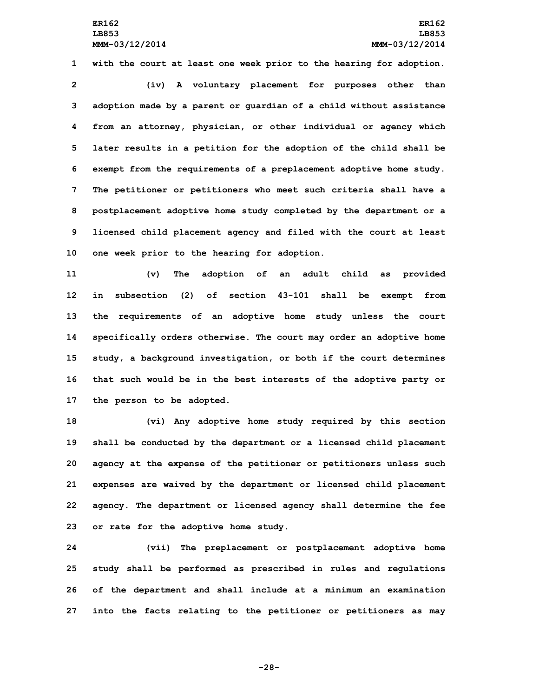**with the court at least one week prior to the hearing for adoption. (iv) <sup>A</sup> voluntary placement for purposes other than adoption made by <sup>a</sup> parent or guardian of <sup>a</sup> child without assistance from an attorney, physician, or other individual or agency which later results in <sup>a</sup> petition for the adoption of the child shall be exempt from the requirements of <sup>a</sup> preplacement adoptive home study. The petitioner or petitioners who meet such criteria shall have <sup>a</sup> postplacement adoptive home study completed by the department or <sup>a</sup> licensed child placement agency and filed with the court at least one week prior to the hearing for adoption.**

 **(v) The adoption of an adult child as provided in subsection (2) of section 43-101 shall be exempt from the requirements of an adoptive home study unless the court specifically orders otherwise. The court may order an adoptive home study, <sup>a</sup> background investigation, or both if the court determines that such would be in the best interests of the adoptive party or the person to be adopted.**

 **(vi) Any adoptive home study required by this section shall be conducted by the department or <sup>a</sup> licensed child placement agency at the expense of the petitioner or petitioners unless such expenses are waived by the department or licensed child placement agency. The department or licensed agency shall determine the fee or rate for the adoptive home study.**

 **(vii) The preplacement or postplacement adoptive home study shall be performed as prescribed in rules and regulations of the department and shall include at <sup>a</sup> minimum an examination into the facts relating to the petitioner or petitioners as may**

**-28-**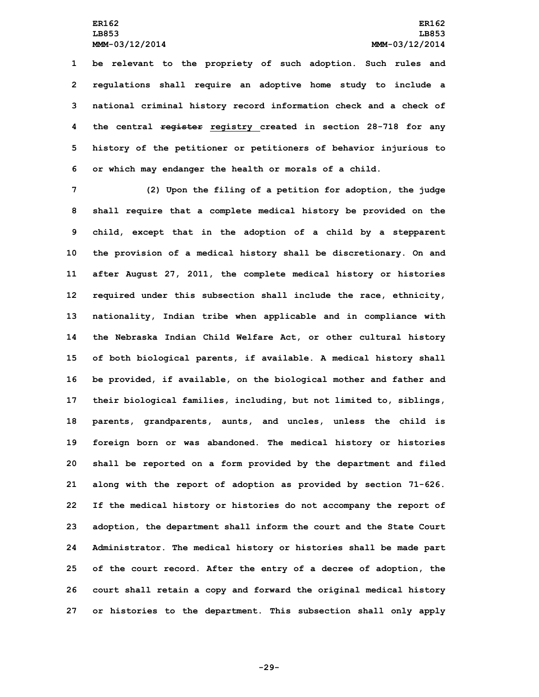**be relevant to the propriety of such adoption. Such rules and regulations shall require an adoptive home study to include <sup>a</sup> national criminal history record information check and <sup>a</sup> check of the central register registry created in section 28-718 for any history of the petitioner or petitioners of behavior injurious to or which may endanger the health or morals of <sup>a</sup> child.**

 **(2) Upon the filing of <sup>a</sup> petition for adoption, the judge shall require that <sup>a</sup> complete medical history be provided on the child, except that in the adoption of <sup>a</sup> child by <sup>a</sup> stepparent the provision of <sup>a</sup> medical history shall be discretionary. On and after August 27, 2011, the complete medical history or histories required under this subsection shall include the race, ethnicity, nationality, Indian tribe when applicable and in compliance with the Nebraska Indian Child Welfare Act, or other cultural history of both biological parents, if available. <sup>A</sup> medical history shall be provided, if available, on the biological mother and father and their biological families, including, but not limited to, siblings, parents, grandparents, aunts, and uncles, unless the child is foreign born or was abandoned. The medical history or histories shall be reported on <sup>a</sup> form provided by the department and filed along with the report of adoption as provided by section 71-626. If the medical history or histories do not accompany the report of adoption, the department shall inform the court and the State Court Administrator. The medical history or histories shall be made part of the court record. After the entry of <sup>a</sup> decree of adoption, the court shall retain <sup>a</sup> copy and forward the original medical history or histories to the department. This subsection shall only apply**

**-29-**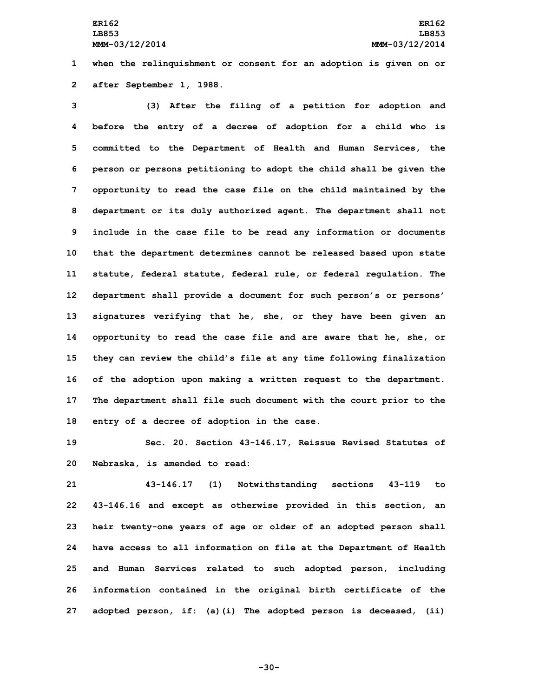**1 when the relinquishment or consent for an adoption is given on or 2 after September 1, 1988.**

 **(3) After the filing of <sup>a</sup> petition for adoption and before the entry of <sup>a</sup> decree of adoption for <sup>a</sup> child who is committed to the Department of Health and Human Services, the person or persons petitioning to adopt the child shall be given the opportunity to read the case file on the child maintained by the department or its duly authorized agent. The department shall not include in the case file to be read any information or documents that the department determines cannot be released based upon state statute, federal statute, federal rule, or federal regulation. The department shall provide <sup>a</sup> document for such person's or persons' signatures verifying that he, she, or they have been given an opportunity to read the case file and are aware that he, she, or they can review the child's file at any time following finalization of the adoption upon making <sup>a</sup> written request to the department. The department shall file such document with the court prior to the entry of <sup>a</sup> decree of adoption in the case.**

**19 Sec. 20. Section 43-146.17, Reissue Revised Statutes of 20 Nebraska, is amended to read:**

 **43-146.17 (1) Notwithstanding sections 43-119 to 43-146.16 and except as otherwise provided in this section, an heir twenty-one years of age or older of an adopted person shall have access to all information on file at the Department of Health and Human Services related to such adopted person, including information contained in the original birth certificate of the adopted person, if: (a)(i) The adopted person is deceased, (ii)**

**-30-**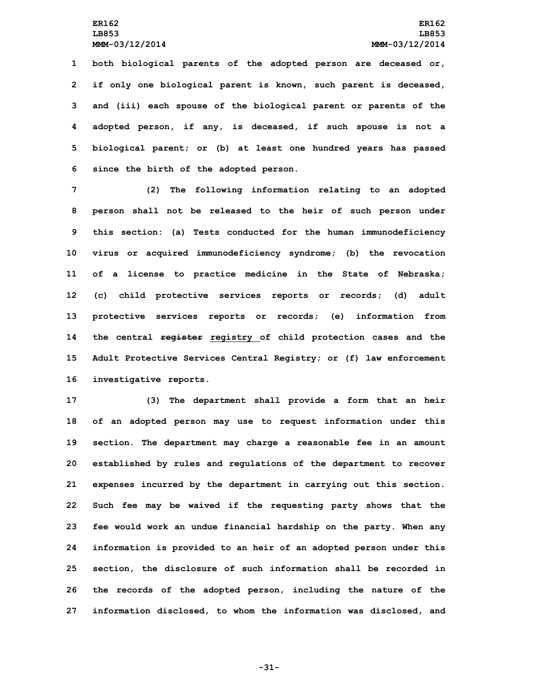**both biological parents of the adopted person are deceased or, if only one biological parent is known, such parent is deceased, and (iii) each spouse of the biological parent or parents of the adopted person, if any, is deceased, if such spouse is not <sup>a</sup> biological parent; or (b) at least one hundred years has passed since the birth of the adopted person.**

 **(2) The following information relating to an adopted person shall not be released to the heir of such person under this section: (a) Tests conducted for the human immunodeficiency virus or acquired immunodeficiency syndrome; (b) the revocation of <sup>a</sup> license to practice medicine in the State of Nebraska; (c) child protective services reports or records; (d) adult protective services reports or records; (e) information from the central register registry of child protection cases and the Adult Protective Services Central Registry; or (f) law enforcement investigative reports.**

 **(3) The department shall provide <sup>a</sup> form that an heir of an adopted person may use to request information under this section. The department may charge <sup>a</sup> reasonable fee in an amount established by rules and regulations of the department to recover expenses incurred by the department in carrying out this section. Such fee may be waived if the requesting party shows that the fee would work an undue financial hardship on the party. When any information is provided to an heir of an adopted person under this section, the disclosure of such information shall be recorded in the records of the adopted person, including the nature of the information disclosed, to whom the information was disclosed, and**

**-31-**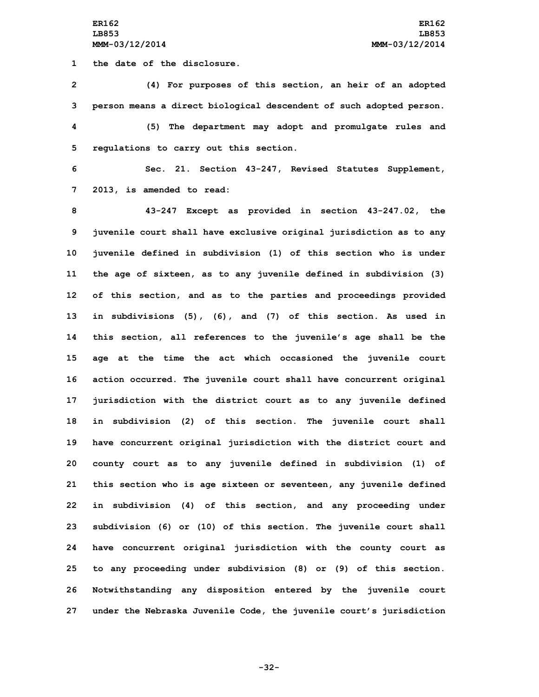**1 the date of the disclosure.**

 **(4) For purposes of this section, an heir of an adopted person means <sup>a</sup> direct biological descendent of such adopted person. (5) The department may adopt and promulgate rules and regulations to carry out this section.**

**6 Sec. 21. Section 43-247, Revised Statutes Supplement, 7 2013, is amended to read:**

 **43-247 Except as provided in section 43-247.02, the juvenile court shall have exclusive original jurisdiction as to any juvenile defined in subdivision (1) of this section who is under the age of sixteen, as to any juvenile defined in subdivision (3) of this section, and as to the parties and proceedings provided in subdivisions (5), (6), and (7) of this section. As used in this section, all references to the juvenile's age shall be the age at the time the act which occasioned the juvenile court action occurred. The juvenile court shall have concurrent original jurisdiction with the district court as to any juvenile defined in subdivision (2) of this section. The juvenile court shall have concurrent original jurisdiction with the district court and county court as to any juvenile defined in subdivision (1) of this section who is age sixteen or seventeen, any juvenile defined in subdivision (4) of this section, and any proceeding under subdivision (6) or (10) of this section. The juvenile court shall have concurrent original jurisdiction with the county court as to any proceeding under subdivision (8) or (9) of this section. Notwithstanding any disposition entered by the juvenile court under the Nebraska Juvenile Code, the juvenile court's jurisdiction**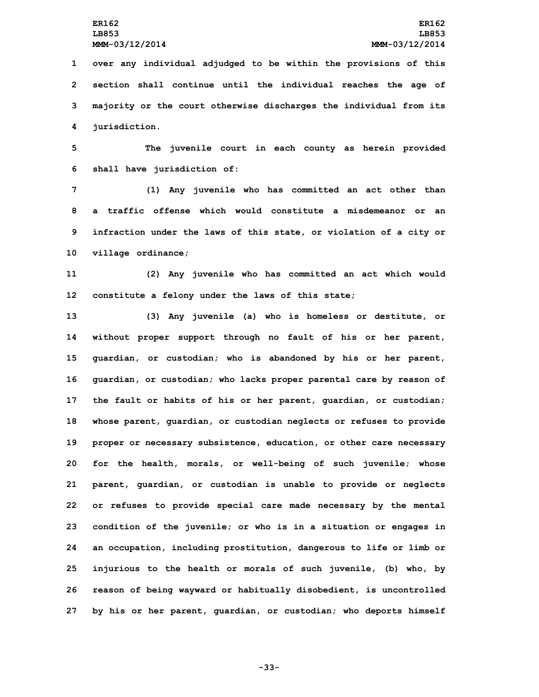**over any individual adjudged to be within the provisions of this section shall continue until the individual reaches the age of majority or the court otherwise discharges the individual from its jurisdiction.**

**5 The juvenile court in each county as herein provided 6 shall have jurisdiction of:**

 **(1) Any juvenile who has committed an act other than a traffic offense which would constitute a misdemeanor or an infraction under the laws of this state, or violation of <sup>a</sup> city or village ordinance;**

**11 (2) Any juvenile who has committed an act which would 12 constitute <sup>a</sup> felony under the laws of this state;**

 **(3) Any juvenile (a) who is homeless or destitute, or without proper support through no fault of his or her parent, guardian, or custodian; who is abandoned by his or her parent, guardian, or custodian; who lacks proper parental care by reason of the fault or habits of his or her parent, guardian, or custodian; whose parent, guardian, or custodian neglects or refuses to provide proper or necessary subsistence, education, or other care necessary for the health, morals, or well-being of such juvenile; whose parent, guardian, or custodian is unable to provide or neglects or refuses to provide special care made necessary by the mental condition of the juvenile; or who is in <sup>a</sup> situation or engages in an occupation, including prostitution, dangerous to life or limb or injurious to the health or morals of such juvenile, (b) who, by reason of being wayward or habitually disobedient, is uncontrolled by his or her parent, guardian, or custodian; who deports himself**

**-33-**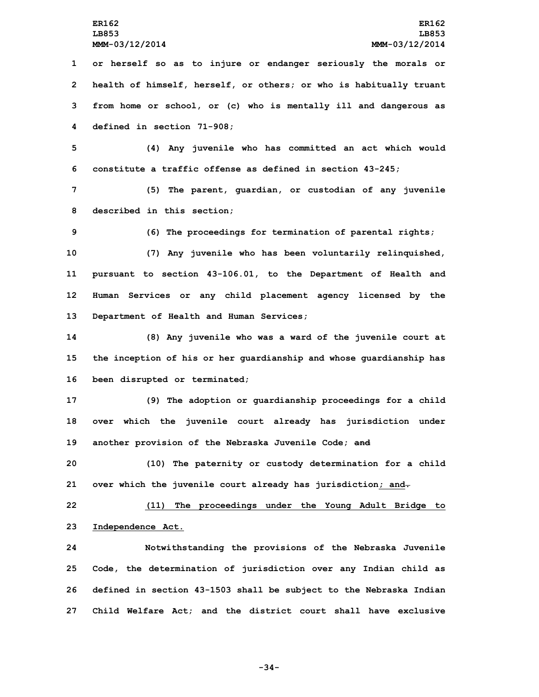**or herself so as to injure or endanger seriously the morals or health of himself, herself, or others; or who is habitually truant from home or school, or (c) who is mentally ill and dangerous as defined in section 71-908;**

**5 (4) Any juvenile who has committed an act which would 6 constitute <sup>a</sup> traffic offense as defined in section 43-245;**

**7 (5) The parent, guardian, or custodian of any juvenile 8 described in this section;**

**9 (6) The proceedings for termination of parental rights;**

 **(7) Any juvenile who has been voluntarily relinquished, pursuant to section 43-106.01, to the Department of Health and Human Services or any child placement agency licensed by the Department of Health and Human Services;**

**14 (8) Any juvenile who was <sup>a</sup> ward of the juvenile court at 15 the inception of his or her guardianship and whose guardianship has 16 been disrupted or terminated;**

**17 (9) The adoption or guardianship proceedings for <sup>a</sup> child 18 over which the juvenile court already has jurisdiction under 19 another provision of the Nebraska Juvenile Code; and**

**20 (10) The paternity or custody determination for <sup>a</sup> child 21 over which the juvenile court already has jurisdiction; and.**

**22 (11) The proceedings under the Young Adult Bridge to 23 Independence Act.**

 **Notwithstanding the provisions of the Nebraska Juvenile Code, the determination of jurisdiction over any Indian child as defined in section 43-1503 shall be subject to the Nebraska Indian Child Welfare Act; and the district court shall have exclusive**

**-34-**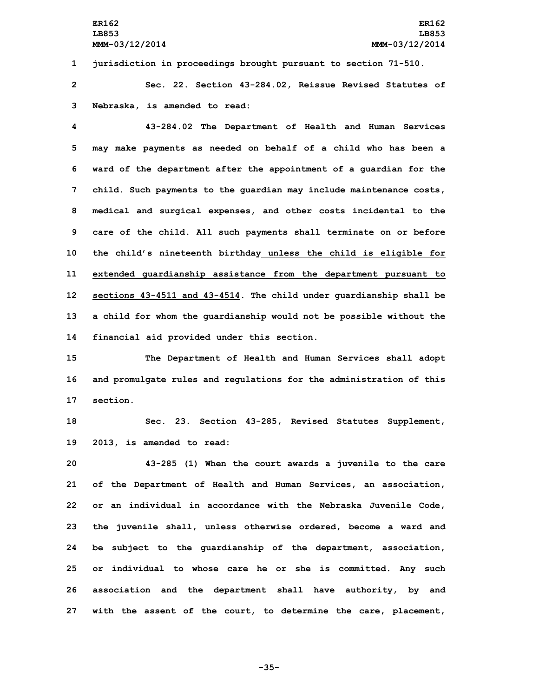**1 jurisdiction in proceedings brought pursuant to section 71-510.**

**2 Sec. 22. Section 43-284.02, Reissue Revised Statutes of 3 Nebraska, is amended to read:**

 **43-284.02 The Department of Health and Human Services may make payments as needed on behalf of <sup>a</sup> child who has been <sup>a</sup> ward of the department after the appointment of <sup>a</sup> guardian for the child. Such payments to the guardian may include maintenance costs, medical and surgical expenses, and other costs incidental to the care of the child. All such payments shall terminate on or before the child's nineteenth birthday unless the child is eligible for extended guardianship assistance from the department pursuant to sections 43-4511 and 43-4514. The child under guardianship shall be <sup>a</sup> child for whom the guardianship would not be possible without the financial aid provided under this section.**

**15 The Department of Health and Human Services shall adopt 16 and promulgate rules and regulations for the administration of this 17 section.**

**18 Sec. 23. Section 43-285, Revised Statutes Supplement, 19 2013, is amended to read:**

 **43-285 (1) When the court awards <sup>a</sup> juvenile to the care of the Department of Health and Human Services, an association, or an individual in accordance with the Nebraska Juvenile Code, the juvenile shall, unless otherwise ordered, become <sup>a</sup> ward and be subject to the guardianship of the department, association, or individual to whose care he or she is committed. Any such association and the department shall have authority, by and with the assent of the court, to determine the care, placement,**

**-35-**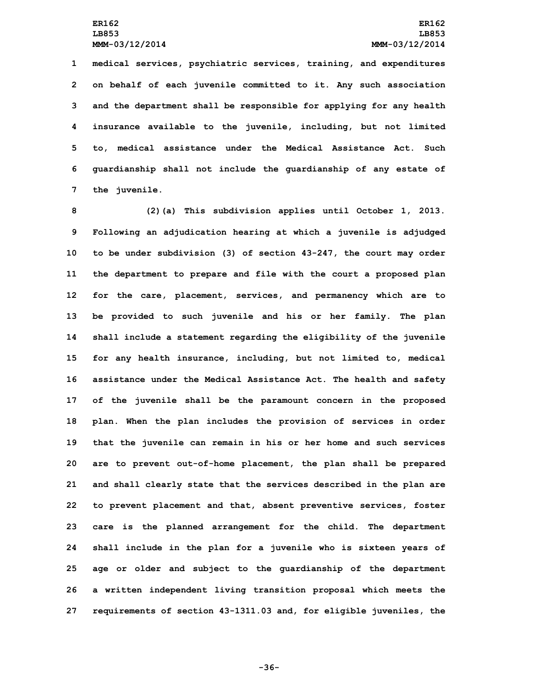**medical services, psychiatric services, training, and expenditures on behalf of each juvenile committed to it. Any such association and the department shall be responsible for applying for any health insurance available to the juvenile, including, but not limited to, medical assistance under the Medical Assistance Act. Such guardianship shall not include the guardianship of any estate of the juvenile.**

 **(2)(a) This subdivision applies until October 1, 2013. Following an adjudication hearing at which <sup>a</sup> juvenile is adjudged to be under subdivision (3) of section 43-247, the court may order the department to prepare and file with the court <sup>a</sup> proposed plan for the care, placement, services, and permanency which are to be provided to such juvenile and his or her family. The plan shall include <sup>a</sup> statement regarding the eligibility of the juvenile for any health insurance, including, but not limited to, medical assistance under the Medical Assistance Act. The health and safety of the juvenile shall be the paramount concern in the proposed plan. When the plan includes the provision of services in order that the juvenile can remain in his or her home and such services are to prevent out-of-home placement, the plan shall be prepared and shall clearly state that the services described in the plan are to prevent placement and that, absent preventive services, foster care is the planned arrangement for the child. The department shall include in the plan for <sup>a</sup> juvenile who is sixteen years of age or older and subject to the guardianship of the department <sup>a</sup> written independent living transition proposal which meets the requirements of section 43-1311.03 and, for eligible juveniles, the**

**-36-**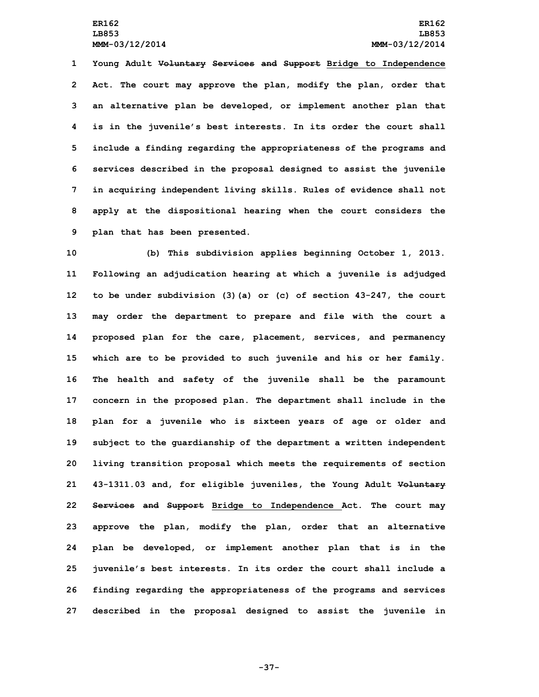**Young Adult Voluntary Services and Support Bridge to Independence Act. The court may approve the plan, modify the plan, order that an alternative plan be developed, or implement another plan that is in the juvenile's best interests. In its order the court shall include <sup>a</sup> finding regarding the appropriateness of the programs and services described in the proposal designed to assist the juvenile in acquiring independent living skills. Rules of evidence shall not apply at the dispositional hearing when the court considers the plan that has been presented.**

 **(b) This subdivision applies beginning October 1, 2013. Following an adjudication hearing at which <sup>a</sup> juvenile is adjudged to be under subdivision (3)(a) or (c) of section 43-247, the court may order the department to prepare and file with the court <sup>a</sup> proposed plan for the care, placement, services, and permanency which are to be provided to such juvenile and his or her family. The health and safety of the juvenile shall be the paramount concern in the proposed plan. The department shall include in the plan for <sup>a</sup> juvenile who is sixteen years of age or older and subject to the guardianship of the department <sup>a</sup> written independent living transition proposal which meets the requirements of section 43-1311.03 and, for eligible juveniles, the Young Adult Voluntary Services and Support Bridge to Independence Act. The court may approve the plan, modify the plan, order that an alternative plan be developed, or implement another plan that is in the juvenile's best interests. In its order the court shall include <sup>a</sup> finding regarding the appropriateness of the programs and services described in the proposal designed to assist the juvenile in**

**-37-**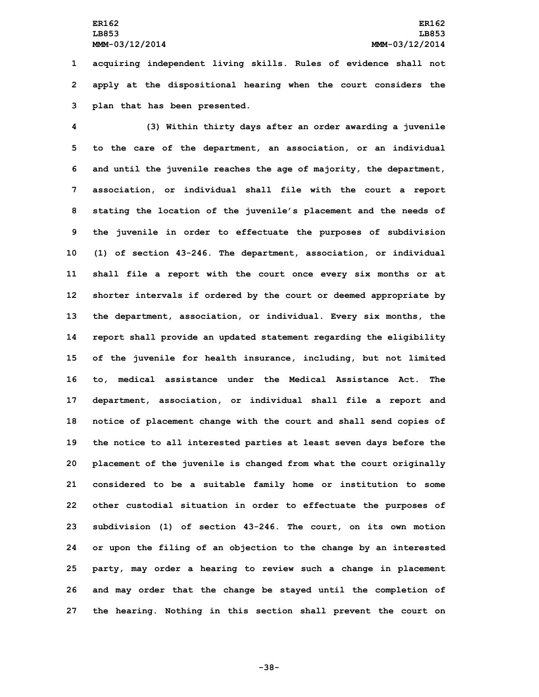**1 acquiring independent living skills. Rules of evidence shall not 2 apply at the dispositional hearing when the court considers the 3 plan that has been presented.**

 **(3) Within thirty days after an order awarding <sup>a</sup> juvenile to the care of the department, an association, or an individual and until the juvenile reaches the age of majority, the department, association, or individual shall file with the court <sup>a</sup> report stating the location of the juvenile's placement and the needs of the juvenile in order to effectuate the purposes of subdivision (1) of section 43-246. The department, association, or individual shall file <sup>a</sup> report with the court once every six months or at shorter intervals if ordered by the court or deemed appropriate by the department, association, or individual. Every six months, the report shall provide an updated statement regarding the eligibility of the juvenile for health insurance, including, but not limited to, medical assistance under the Medical Assistance Act. The department, association, or individual shall file <sup>a</sup> report and notice of placement change with the court and shall send copies of the notice to all interested parties at least seven days before the placement of the juvenile is changed from what the court originally considered to be <sup>a</sup> suitable family home or institution to some other custodial situation in order to effectuate the purposes of subdivision (1) of section 43-246. The court, on its own motion or upon the filing of an objection to the change by an interested party, may order <sup>a</sup> hearing to review such <sup>a</sup> change in placement and may order that the change be stayed until the completion of the hearing. Nothing in this section shall prevent the court on**

**-38-**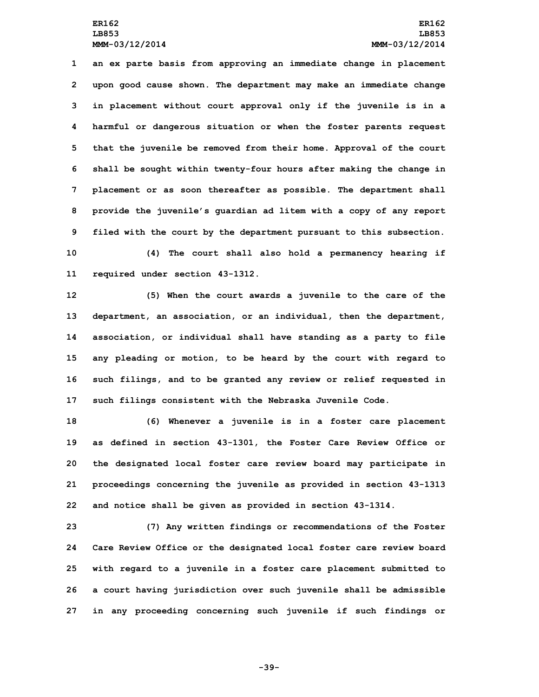**an ex parte basis from approving an immediate change in placement upon good cause shown. The department may make an immediate change in placement without court approval only if the juvenile is in <sup>a</sup> harmful or dangerous situation or when the foster parents request that the juvenile be removed from their home. Approval of the court shall be sought within twenty-four hours after making the change in placement or as soon thereafter as possible. The department shall provide the juvenile's guardian ad litem with <sup>a</sup> copy of any report filed with the court by the department pursuant to this subsection. (4) The court shall also hold <sup>a</sup> permanency hearing if**

**11 required under section 43-1312.**

 **(5) When the court awards <sup>a</sup> juvenile to the care of the department, an association, or an individual, then the department, association, or individual shall have standing as <sup>a</sup> party to file any pleading or motion, to be heard by the court with regard to such filings, and to be granted any review or relief requested in such filings consistent with the Nebraska Juvenile Code.**

 **(6) Whenever <sup>a</sup> juvenile is in <sup>a</sup> foster care placement as defined in section 43-1301, the Foster Care Review Office or the designated local foster care review board may participate in proceedings concerning the juvenile as provided in section 43-1313 and notice shall be given as provided in section 43-1314.**

 **(7) Any written findings or recommendations of the Foster Care Review Office or the designated local foster care review board with regard to <sup>a</sup> juvenile in <sup>a</sup> foster care placement submitted to <sup>a</sup> court having jurisdiction over such juvenile shall be admissible in any proceeding concerning such juvenile if such findings or**

**-39-**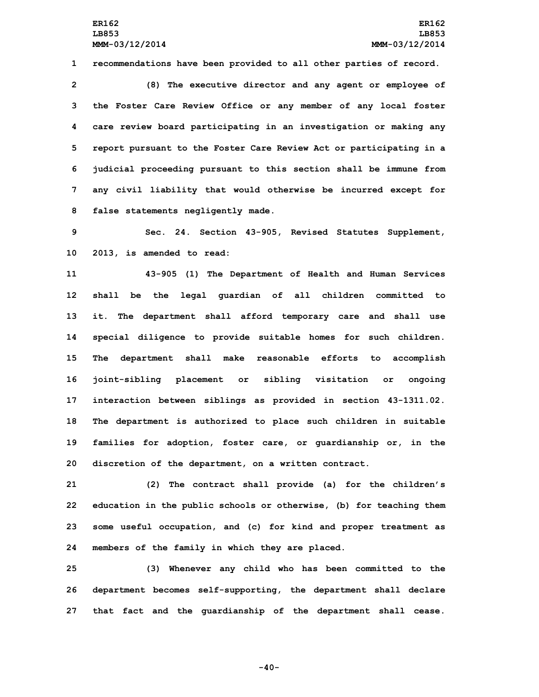**1 recommendations have been provided to all other parties of record.**

 **(8) The executive director and any agent or employee of the Foster Care Review Office or any member of any local foster care review board participating in an investigation or making any report pursuant to the Foster Care Review Act or participating in <sup>a</sup> judicial proceeding pursuant to this section shall be immune from any civil liability that would otherwise be incurred except for false statements negligently made.**

**9 Sec. 24. Section 43-905, Revised Statutes Supplement, 10 2013, is amended to read:**

 **43-905 (1) The Department of Health and Human Services shall be the legal guardian of all children committed to it. The department shall afford temporary care and shall use special diligence to provide suitable homes for such children. The department shall make reasonable efforts to accomplish joint-sibling placement or sibling visitation or ongoing interaction between siblings as provided in section 43-1311.02. The department is authorized to place such children in suitable families for adoption, foster care, or guardianship or, in the discretion of the department, on <sup>a</sup> written contract.**

 **(2) The contract shall provide (a) for the children's education in the public schools or otherwise, (b) for teaching them some useful occupation, and (c) for kind and proper treatment as members of the family in which they are placed.**

**25 (3) Whenever any child who has been committed to the 26 department becomes self-supporting, the department shall declare 27 that fact and the guardianship of the department shall cease.**

**-40-**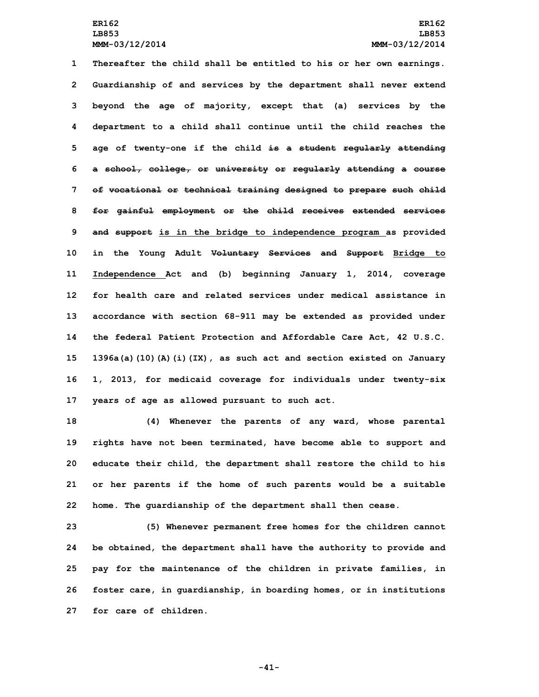**Thereafter the child shall be entitled to his or her own earnings. Guardianship of and services by the department shall never extend beyond the age of majority, except that (a) services by the department to <sup>a</sup> child shall continue until the child reaches the age of twenty-one if the child is <sup>a</sup> student regularly attending <sup>a</sup> school, college, or university or regularly attending <sup>a</sup> course of vocational or technical training designed to prepare such child for gainful employment or the child receives extended services and support is in the bridge to independence program as provided in the Young Adult Voluntary Services and Support Bridge to Independence Act and (b) beginning January 1, 2014, coverage for health care and related services under medical assistance in accordance with section 68-911 may be extended as provided under the federal Patient Protection and Affordable Care Act, 42 U.S.C. 1396a(a)(10)(A)(i)(IX), as such act and section existed on January 1, 2013, for medicaid coverage for individuals under twenty-six years of age as allowed pursuant to such act.**

 **(4) Whenever the parents of any ward, whose parental rights have not been terminated, have become able to support and educate their child, the department shall restore the child to his or her parents if the home of such parents would be <sup>a</sup> suitable home. The guardianship of the department shall then cease.**

 **(5) Whenever permanent free homes for the children cannot be obtained, the department shall have the authority to provide and pay for the maintenance of the children in private families, in foster care, in guardianship, in boarding homes, or in institutions for care of children.**

**-41-**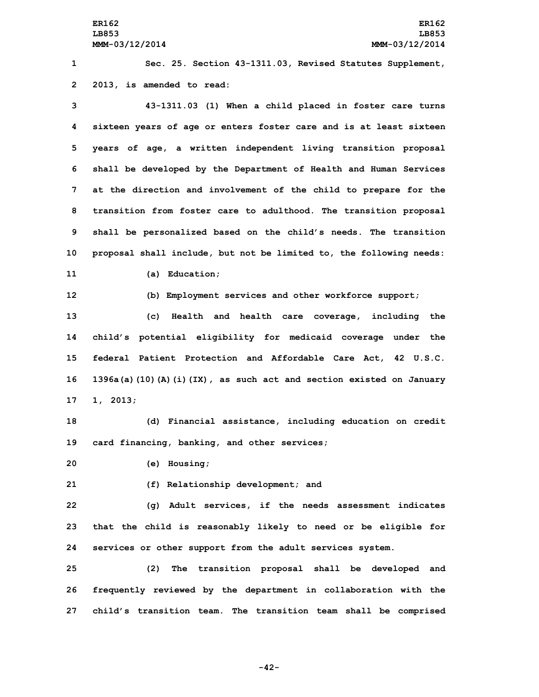**1 Sec. 25. Section 43-1311.03, Revised Statutes Supplement, 2 2013, is amended to read:**

 **43-1311.03 (1) When <sup>a</sup> child placed in foster care turns sixteen years of age or enters foster care and is at least sixteen years of age, <sup>a</sup> written independent living transition proposal shall be developed by the Department of Health and Human Services at the direction and involvement of the child to prepare for the transition from foster care to adulthood. The transition proposal shall be personalized based on the child's needs. The transition proposal shall include, but not be limited to, the following needs:**

**11 (a) Education;**

**12 (b) Employment services and other workforce support;**

 **(c) Health and health care coverage, including the child's potential eligibility for medicaid coverage under the federal Patient Protection and Affordable Care Act, 42 U.S.C. 1396a(a)(10)(A)(i)(IX), as such act and section existed on January 17 1, 2013;**

**18 (d) Financial assistance, including education on credit 19 card financing, banking, and other services;**

**20 (e) Housing;**

**21 (f) Relationship development; and**

**22 (g) Adult services, if the needs assessment indicates 23 that the child is reasonably likely to need or be eligible for 24 services or other support from the adult services system.**

**25 (2) The transition proposal shall be developed and 26 frequently reviewed by the department in collaboration with the 27 child's transition team. The transition team shall be comprised**

**-42-**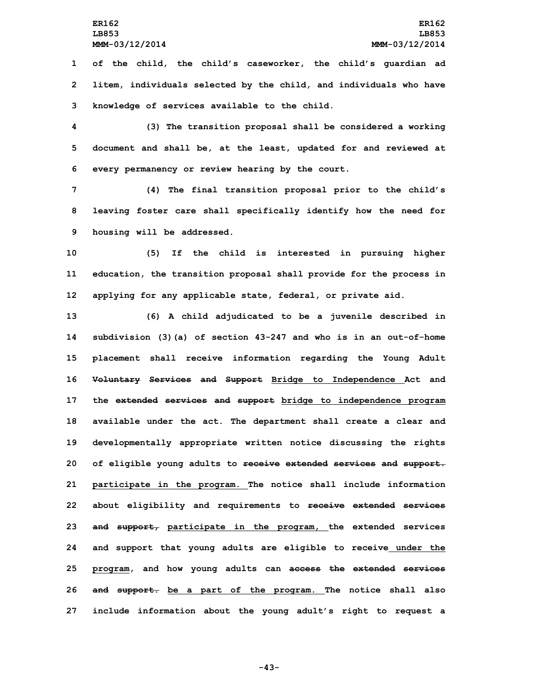**1 of the child, the child's caseworker, the child's guardian ad 2 litem, individuals selected by the child, and individuals who have 3 knowledge of services available to the child.**

**4 (3) The transition proposal shall be considered <sup>a</sup> working 5 document and shall be, at the least, updated for and reviewed at 6 every permanency or review hearing by the court.**

**7 (4) The final transition proposal prior to the child's 8 leaving foster care shall specifically identify how the need for 9 housing will be addressed.**

**10 (5) If the child is interested in pursuing higher 11 education, the transition proposal shall provide for the process in 12 applying for any applicable state, federal, or private aid.**

 **(6) <sup>A</sup> child adjudicated to be <sup>a</sup> juvenile described in subdivision (3)(a) of section 43-247 and who is in an out-of-home placement shall receive information regarding the Young Adult Voluntary Services and Support Bridge to Independence Act and the extended services and support bridge to independence program available under the act. The department shall create <sup>a</sup> clear and developmentally appropriate written notice discussing the rights of eligible young adults to receive extended services and support. participate in the program. The notice shall include information about eligibility and requirements to receive extended services and support, participate in the program, the extended services and support that young adults are eligible to receive under the program, and how young adults can access the extended services and support. be <sup>a</sup> part of the program. The notice shall also include information about the young adult's right to request <sup>a</sup>**

**-43-**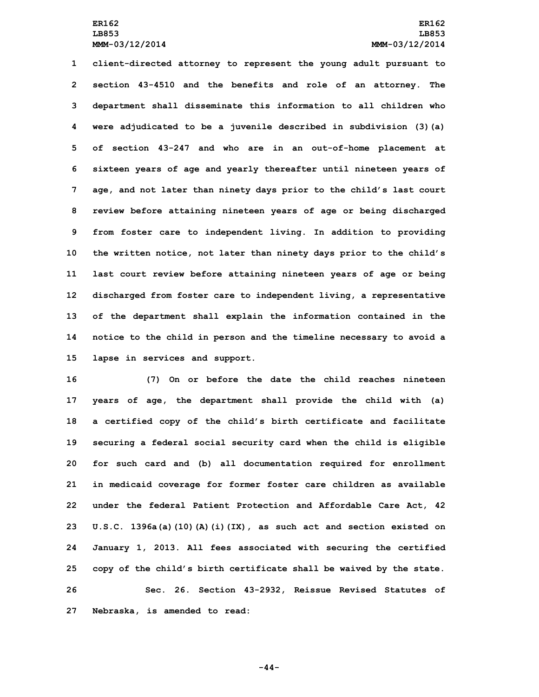**client-directed attorney to represent the young adult pursuant to section 43-4510 and the benefits and role of an attorney. The department shall disseminate this information to all children who were adjudicated to be <sup>a</sup> juvenile described in subdivision (3)(a) of section 43-247 and who are in an out-of-home placement at sixteen years of age and yearly thereafter until nineteen years of age, and not later than ninety days prior to the child's last court review before attaining nineteen years of age or being discharged from foster care to independent living. In addition to providing the written notice, not later than ninety days prior to the child's last court review before attaining nineteen years of age or being discharged from foster care to independent living, <sup>a</sup> representative of the department shall explain the information contained in the notice to the child in person and the timeline necessary to avoid <sup>a</sup> lapse in services and support.**

 **(7) On or before the date the child reaches nineteen years of age, the department shall provide the child with (a) <sup>a</sup> certified copy of the child's birth certificate and facilitate securing <sup>a</sup> federal social security card when the child is eligible for such card and (b) all documentation required for enrollment in medicaid coverage for former foster care children as available under the federal Patient Protection and Affordable Care Act, 42 U.S.C. 1396a(a)(10)(A)(i)(IX), as such act and section existed on January 1, 2013. All fees associated with securing the certified copy of the child's birth certificate shall be waived by the state. Sec. 26. Section 43-2932, Reissue Revised Statutes of Nebraska, is amended to read:**

**-44-**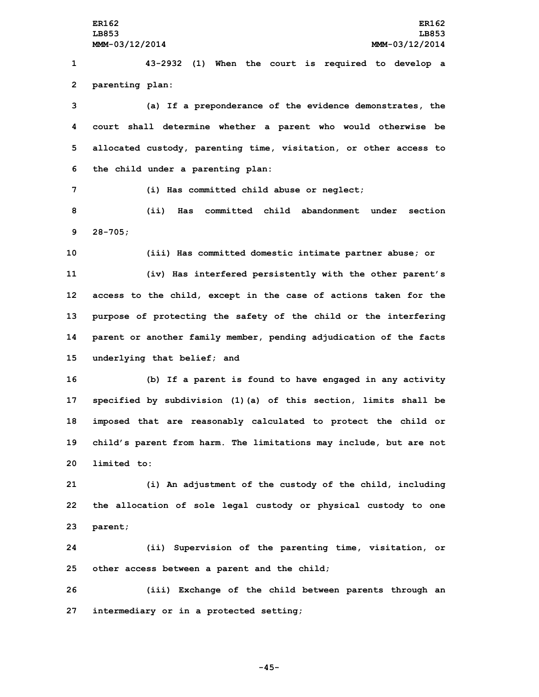**ER162 ER162 LB853 LB853 MMM-03/12/2014 MMM-03/12/2014 43-2932 (1) When the court is required to develop <sup>a</sup> parenting plan: (a) If <sup>a</sup> preponderance of the evidence demonstrates, the court shall determine whether <sup>a</sup> parent who would otherwise be allocated custody, parenting time, visitation, or other access to the child under <sup>a</sup> parenting plan: (i) Has committed child abuse or neglect; (ii) Has committed child abandonment under section 9 28-705; (iii) Has committed domestic intimate partner abuse; or (iv) Has interfered persistently with the other parent's access to the child, except in the case of actions taken for the purpose of protecting the safety of the child or the interfering parent or another family member, pending adjudication of the facts underlying that belief; and (b) If <sup>a</sup> parent is found to have engaged in any activity specified by subdivision (1)(a) of this section, limits shall be imposed that are reasonably calculated to protect the child or child's parent from harm. The limitations may include, but are not limited to: (i) An adjustment of the custody of the child, including the allocation of sole legal custody or physical custody to one**

**23 parent;**

**24 (ii) Supervision of the parenting time, visitation, or 25 other access between <sup>a</sup> parent and the child;**

**26 (iii) Exchange of the child between parents through an 27 intermediary or in <sup>a</sup> protected setting;**

**-45-**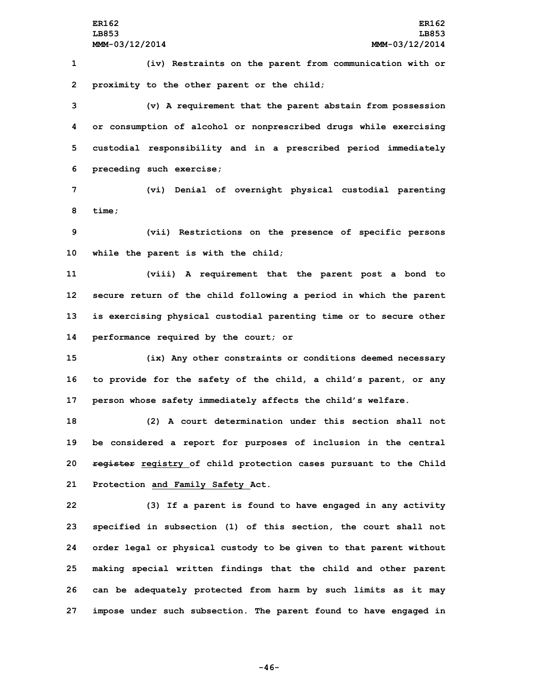**1 (iv) Restraints on the parent from communication with or 2 proximity to the other parent or the child;**

 **(v) <sup>A</sup> requirement that the parent abstain from possession or consumption of alcohol or nonprescribed drugs while exercising custodial responsibility and in <sup>a</sup> prescribed period immediately preceding such exercise;**

**7 (vi) Denial of overnight physical custodial parenting 8 time;**

**9 (vii) Restrictions on the presence of specific persons 10 while the parent is with the child;**

 **(viii) <sup>A</sup> requirement that the parent post <sup>a</sup> bond to secure return of the child following <sup>a</sup> period in which the parent is exercising physical custodial parenting time or to secure other performance required by the court; or**

**15 (ix) Any other constraints or conditions deemed necessary 16 to provide for the safety of the child, <sup>a</sup> child's parent, or any 17 person whose safety immediately affects the child's welfare.**

 **(2) A court determination under this section shall not be considered <sup>a</sup> report for purposes of inclusion in the central register registry of child protection cases pursuant to the Child Protection and Family Safety Act.**

 **(3) If <sup>a</sup> parent is found to have engaged in any activity specified in subsection (1) of this section, the court shall not order legal or physical custody to be given to that parent without making special written findings that the child and other parent can be adequately protected from harm by such limits as it may impose under such subsection. The parent found to have engaged in**

**-46-**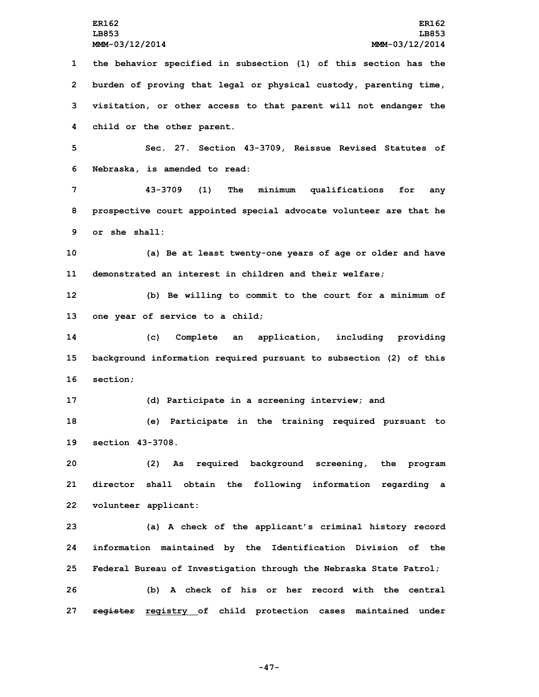**the behavior specified in subsection (1) of this section has the burden of proving that legal or physical custody, parenting time, visitation, or other access to that parent will not endanger the child or the other parent. Sec. 27. Section 43-3709, Reissue Revised Statutes of**

**6 Nebraska, is amended to read:**

**7 43-3709 (1) The minimum qualifications for any 8 prospective court appointed special advocate volunteer are that he 9 or she shall:**

**10 (a) Be at least twenty-one years of age or older and have 11 demonstrated an interest in children and their welfare;**

**12 (b) Be willing to commit to the court for <sup>a</sup> minimum of 13 one year of service to <sup>a</sup> child;**

**14 (c) Complete an application, including providing 15 background information required pursuant to subsection (2) of this 16 section;**

**17 (d) Participate in <sup>a</sup> screening interview; and**

**18 (e) Participate in the training required pursuant to 19 section 43-3708.**

**20 (2) As required background screening, the program 21 director shall obtain the following information regarding <sup>a</sup> 22 volunteer applicant:**

 **(a) <sup>A</sup> check of the applicant's criminal history record information maintained by the Identification Division of the Federal Bureau of Investigation through the Nebraska State Patrol; (b) A check of his or her record with the central register registry of child protection cases maintained under**

**-47-**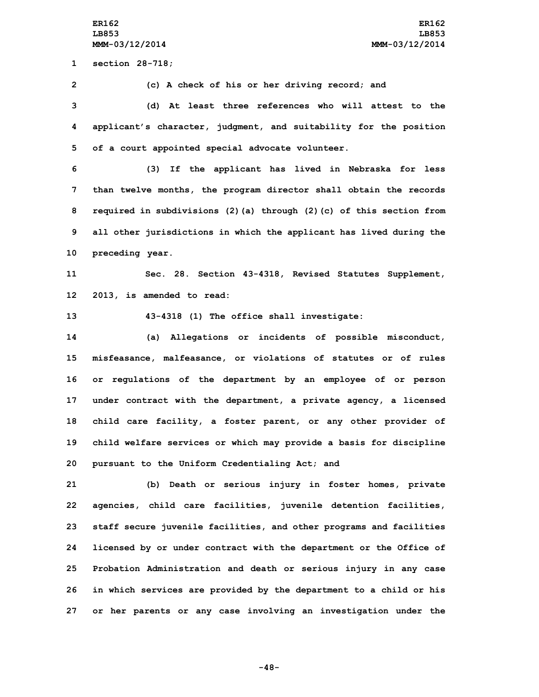**ER162 ER162 LB853 LB853 MMM-03/12/2014 MMM-03/12/2014**

**1 section 28-718;**

**2 (c) <sup>A</sup> check of his or her driving record; and**

**3 (d) At least three references who will attest to the 4 applicant's character, judgment, and suitability for the position 5 of <sup>a</sup> court appointed special advocate volunteer.**

 **(3) If the applicant has lived in Nebraska for less than twelve months, the program director shall obtain the records required in subdivisions (2)(a) through (2)(c) of this section from all other jurisdictions in which the applicant has lived during the preceding year.**

**11 Sec. 28. Section 43-4318, Revised Statutes Supplement, 12 2013, is amended to read:**

**13 43-4318 (1) The office shall investigate:**

 **(a) Allegations or incidents of possible misconduct, misfeasance, malfeasance, or violations of statutes or of rules or regulations of the department by an employee of or person under contract with the department, <sup>a</sup> private agency, <sup>a</sup> licensed child care facility, <sup>a</sup> foster parent, or any other provider of child welfare services or which may provide <sup>a</sup> basis for discipline pursuant to the Uniform Credentialing Act; and**

 **(b) Death or serious injury in foster homes, private agencies, child care facilities, juvenile detention facilities, staff secure juvenile facilities, and other programs and facilities licensed by or under contract with the department or the Office of Probation Administration and death or serious injury in any case in which services are provided by the department to <sup>a</sup> child or his or her parents or any case involving an investigation under the**

**-48-**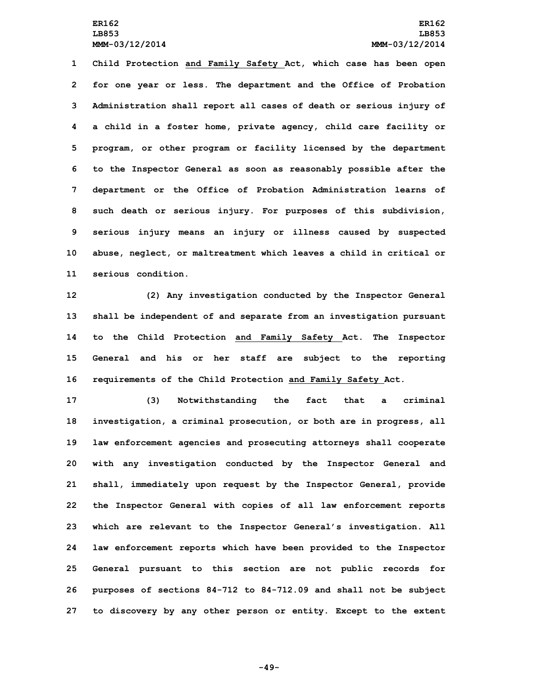**Child Protection and Family Safety Act, which case has been open for one year or less. The department and the Office of Probation Administration shall report all cases of death or serious injury of <sup>a</sup> child in <sup>a</sup> foster home, private agency, child care facility or program, or other program or facility licensed by the department to the Inspector General as soon as reasonably possible after the department or the Office of Probation Administration learns of such death or serious injury. For purposes of this subdivision, serious injury means an injury or illness caused by suspected abuse, neglect, or maltreatment which leaves <sup>a</sup> child in critical or serious condition.**

 **(2) Any investigation conducted by the Inspector General shall be independent of and separate from an investigation pursuant to the Child Protection and Family Safety Act. The Inspector General and his or her staff are subject to the reporting requirements of the Child Protection and Family Safety Act.**

 **(3) Notwithstanding the fact that <sup>a</sup> criminal investigation, <sup>a</sup> criminal prosecution, or both are in progress, all law enforcement agencies and prosecuting attorneys shall cooperate with any investigation conducted by the Inspector General and shall, immediately upon request by the Inspector General, provide the Inspector General with copies of all law enforcement reports which are relevant to the Inspector General's investigation. All law enforcement reports which have been provided to the Inspector General pursuant to this section are not public records for purposes of sections 84-712 to 84-712.09 and shall not be subject to discovery by any other person or entity. Except to the extent**

**-49-**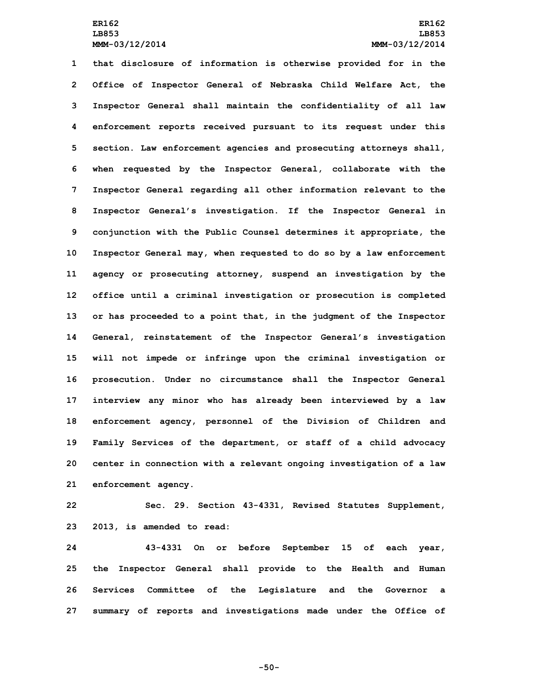**that disclosure of information is otherwise provided for in the Office of Inspector General of Nebraska Child Welfare Act, the Inspector General shall maintain the confidentiality of all law enforcement reports received pursuant to its request under this section. Law enforcement agencies and prosecuting attorneys shall, when requested by the Inspector General, collaborate with the Inspector General regarding all other information relevant to the Inspector General's investigation. If the Inspector General in conjunction with the Public Counsel determines it appropriate, the Inspector General may, when requested to do so by <sup>a</sup> law enforcement agency or prosecuting attorney, suspend an investigation by the office until <sup>a</sup> criminal investigation or prosecution is completed or has proceeded to <sup>a</sup> point that, in the judgment of the Inspector General, reinstatement of the Inspector General's investigation will not impede or infringe upon the criminal investigation or prosecution. Under no circumstance shall the Inspector General interview any minor who has already been interviewed by <sup>a</sup> law enforcement agency, personnel of the Division of Children and Family Services of the department, or staff of <sup>a</sup> child advocacy center in connection with <sup>a</sup> relevant ongoing investigation of <sup>a</sup> law enforcement agency.**

**22 Sec. 29. Section 43-4331, Revised Statutes Supplement, 23 2013, is amended to read:**

 **43-4331 On or before September 15 of each year, the Inspector General shall provide to the Health and Human Services Committee of the Legislature and the Governor <sup>a</sup> summary of reports and investigations made under the Office of**

**-50-**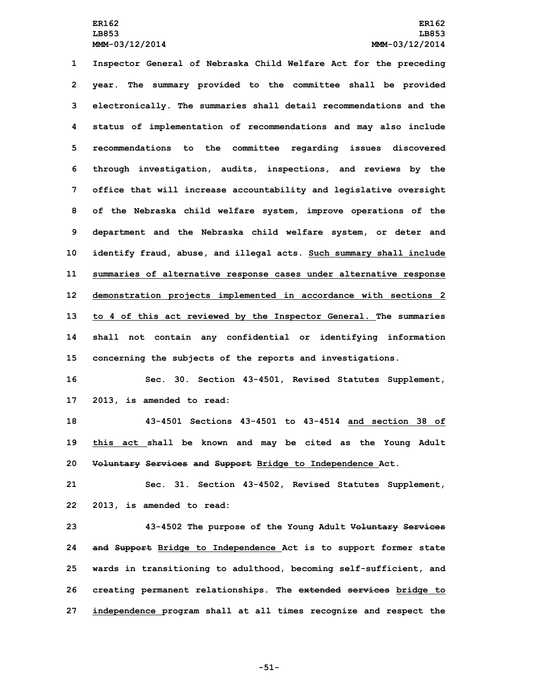**Inspector General of Nebraska Child Welfare Act for the preceding year. The summary provided to the committee shall be provided electronically. The summaries shall detail recommendations and the status of implementation of recommendations and may also include recommendations to the committee regarding issues discovered through investigation, audits, inspections, and reviews by the office that will increase accountability and legislative oversight of the Nebraska child welfare system, improve operations of the department and the Nebraska child welfare system, or deter and identify fraud, abuse, and illegal acts. Such summary shall include summaries of alternative response cases under alternative response demonstration projects implemented in accordance with sections 2 to 4 of this act reviewed by the Inspector General. The summaries shall not contain any confidential or identifying information concerning the subjects of the reports and investigations.**

**16 Sec. 30. Section 43-4501, Revised Statutes Supplement, 17 2013, is amended to read:**

**18 43-4501 Sections 43-4501 to 43-4514 and section 38 of 19 this act shall be known and may be cited as the Young Adult 20 Voluntary Services and Support Bridge to Independence Act.**

**21 Sec. 31. Section 43-4502, Revised Statutes Supplement, 22 2013, is amended to read:**

 **43-4502 The purpose of the Young Adult Voluntary Services and Support Bridge to Independence Act is to support former state wards in transitioning to adulthood, becoming self-sufficient, and creating permanent relationships. The extended services bridge to independence program shall at all times recognize and respect the**

**-51-**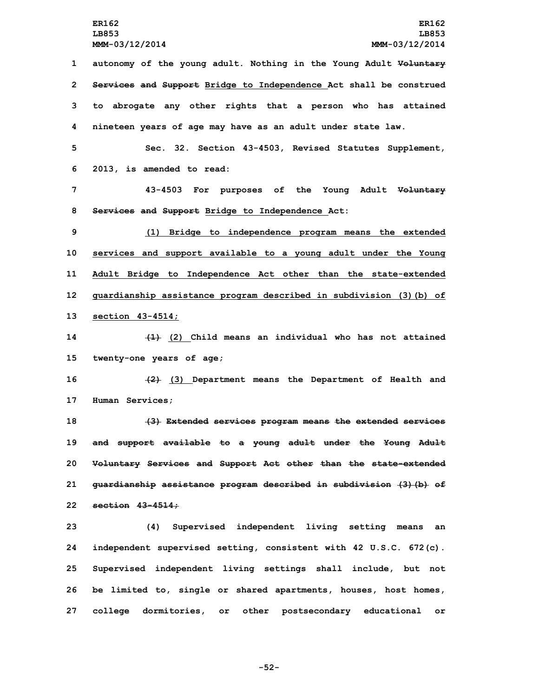**autonomy of the young adult. Nothing in the Young Adult Voluntary Services and Support Bridge to Independence Act shall be construed to abrogate any other rights that <sup>a</sup> person who has attained nineteen years of age may have as an adult under state law.**

**5 Sec. 32. Section 43-4503, Revised Statutes Supplement, 6 2013, is amended to read:**

**7 43-4503 For purposes of the Young Adult Voluntary 8 Services and Support Bridge to Independence Act:**

 **(1) Bridge to independence program means the extended services and support available to <sup>a</sup> young adult under the Young Adult Bridge to Independence Act other than the state-extended guardianship assistance program described in subdivision (3)(b) of section 43-4514;**

**14 (1) (2) Child means an individual who has not attained 15 twenty-one years of age;**

**16 (2) (3) Department means the Department of Health and 17 Human Services;**

 **(3) Extended services program means the extended services and support available to <sup>a</sup> young adult under the Young Adult Voluntary Services and Support Act other than the state-extended guardianship assistance program described in subdivision (3)(b) of section 43-4514;**

 **(4) Supervised independent living setting means an independent supervised setting, consistent with 42 U.S.C. 672(c). Supervised independent living settings shall include, but not be limited to, single or shared apartments, houses, host homes, college dormitories, or other postsecondary educational or**

**-52-**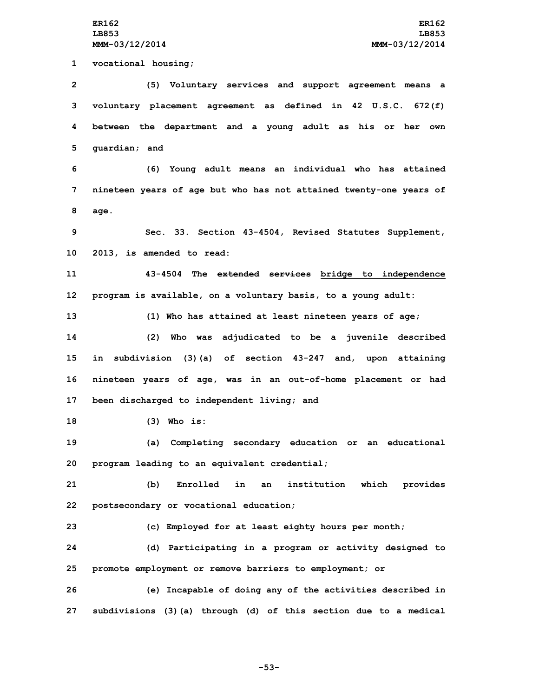**vocational housing; (5) Voluntary services and support agreement means <sup>a</sup> voluntary placement agreement as defined in 42 U.S.C. 672(f) between the department and <sup>a</sup> young adult as his or her own guardian; and (6) Young adult means an individual who has attained nineteen years of age but who has not attained twenty-one years of 8 age. Sec. 33. Section 43-4504, Revised Statutes Supplement, 2013, is amended to read: 43-4504 The extended services bridge to independence program is available, on <sup>a</sup> voluntary basis, to <sup>a</sup> young adult: (1) Who has attained at least nineteen years of age; (2) Who was adjudicated to be <sup>a</sup> juvenile described in subdivision (3)(a) of section 43-247 and, upon attaining nineteen years of age, was in an out-of-home placement or had been discharged to independent living; and (3) Who is: (a) Completing secondary education or an educational program leading to an equivalent credential; (b) Enrolled in an institution which provides postsecondary or vocational education; (c) Employed for at least eighty hours per month; (d) Participating in <sup>a</sup> program or activity designed to promote employment or remove barriers to employment; or (e) Incapable of doing any of the activities described in subdivisions (3)(a) through (d) of this section due to <sup>a</sup> medical**

**-53-**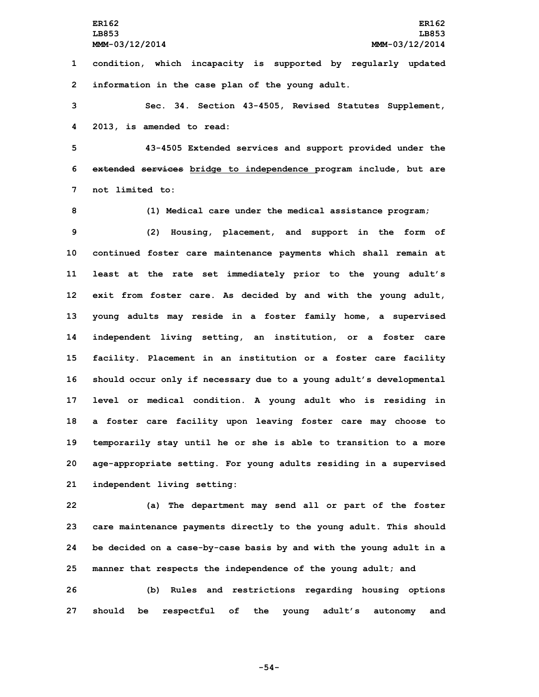**ER162 ER162 LB853 LB853 MMM-03/12/2014 MMM-03/12/2014**

**1 condition, which incapacity is supported by regularly updated 2 information in the case plan of the young adult.**

**3 Sec. 34. Section 43-4505, Revised Statutes Supplement, 4 2013, is amended to read:**

**5 43-4505 Extended services and support provided under the 6 extended services bridge to independence program include, but are 7 not limited to:**

**8 (1) Medical care under the medical assistance program;**

 **(2) Housing, placement, and support in the form of continued foster care maintenance payments which shall remain at least at the rate set immediately prior to the young adult's exit from foster care. As decided by and with the young adult, young adults may reside in <sup>a</sup> foster family home, <sup>a</sup> supervised independent living setting, an institution, or <sup>a</sup> foster care facility. Placement in an institution or <sup>a</sup> foster care facility should occur only if necessary due to <sup>a</sup> young adult's developmental level or medical condition. <sup>A</sup> young adult who is residing in <sup>a</sup> foster care facility upon leaving foster care may choose to temporarily stay until he or she is able to transition to <sup>a</sup> more age-appropriate setting. For young adults residing in <sup>a</sup> supervised independent living setting:**

 **(a) The department may send all or part of the foster care maintenance payments directly to the young adult. This should be decided on <sup>a</sup> case-by-case basis by and with the young adult in <sup>a</sup> manner that respects the independence of the young adult; and (b) Rules and restrictions regarding housing options**

**27 should be respectful of the young adult's autonomy and**

**-54-**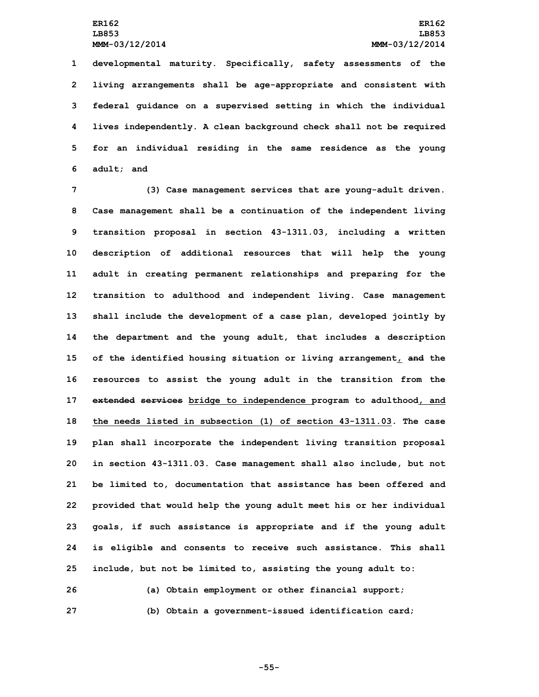**developmental maturity. Specifically, safety assessments of the living arrangements shall be age-appropriate and consistent with federal guidance on <sup>a</sup> supervised setting in which the individual lives independently. A clean background check shall not be required for an individual residing in the same residence as the young adult; and**

 **(3) Case management services that are young-adult driven. Case management shall be <sup>a</sup> continuation of the independent living transition proposal in section 43-1311.03, including <sup>a</sup> written description of additional resources that will help the young adult in creating permanent relationships and preparing for the transition to adulthood and independent living. Case management shall include the development of <sup>a</sup> case plan, developed jointly by the department and the young adult, that includes <sup>a</sup> description of the identified housing situation or living arrangement, and the resources to assist the young adult in the transition from the extended services bridge to independence program to adulthood, and the needs listed in subsection (1) of section 43-1311.03. The case plan shall incorporate the independent living transition proposal in section 43-1311.03. Case management shall also include, but not be limited to, documentation that assistance has been offered and provided that would help the young adult meet his or her individual goals, if such assistance is appropriate and if the young adult is eligible and consents to receive such assistance. This shall include, but not be limited to, assisting the young adult to:**

**26 (a) Obtain employment or other financial support; 27 (b) Obtain <sup>a</sup> government-issued identification card;**

**-55-**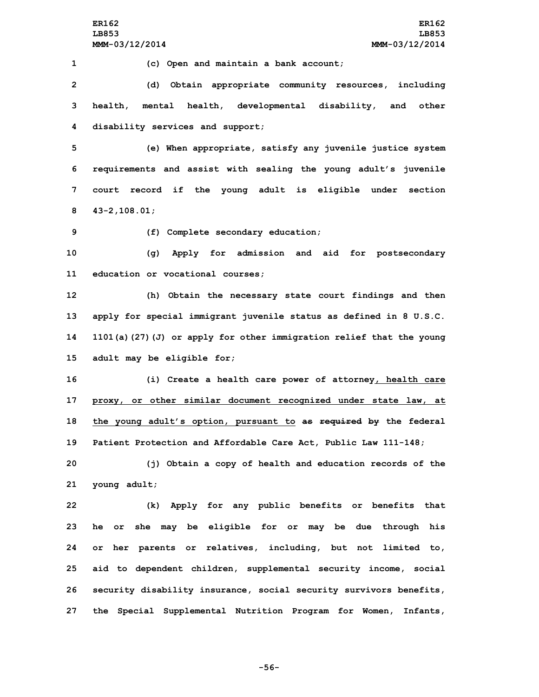**1 (c) Open and maintain <sup>a</sup> bank account;**

**2 (d) Obtain appropriate community resources, including 3 health, mental health, developmental disability, and other 4 disability services and support;**

 **(e) When appropriate, satisfy any juvenile justice system requirements and assist with sealing the young adult's juvenile court record if the young adult is eligible under section 43-2,108.01;**

**9 (f) Complete secondary education;**

**10 (g) Apply for admission and aid for postsecondary 11 education or vocational courses;**

 **(h) Obtain the necessary state court findings and then apply for special immigrant juvenile status as defined in 8 U.S.C. 1101(a)(27)(J) or apply for other immigration relief that the young adult may be eligible for;**

 **(i) Create <sup>a</sup> health care power of attorney, health care proxy, or other similar document recognized under state law, at the young adult's option, pursuant to as required by the federal Patient Protection and Affordable Care Act, Public Law 111-148;**

**20 (j) Obtain <sup>a</sup> copy of health and education records of the 21 young adult;**

 **(k) Apply for any public benefits or benefits that he or she may be eligible for or may be due through his or her parents or relatives, including, but not limited to, aid to dependent children, supplemental security income, social security disability insurance, social security survivors benefits, the Special Supplemental Nutrition Program for Women, Infants,**

**-56-**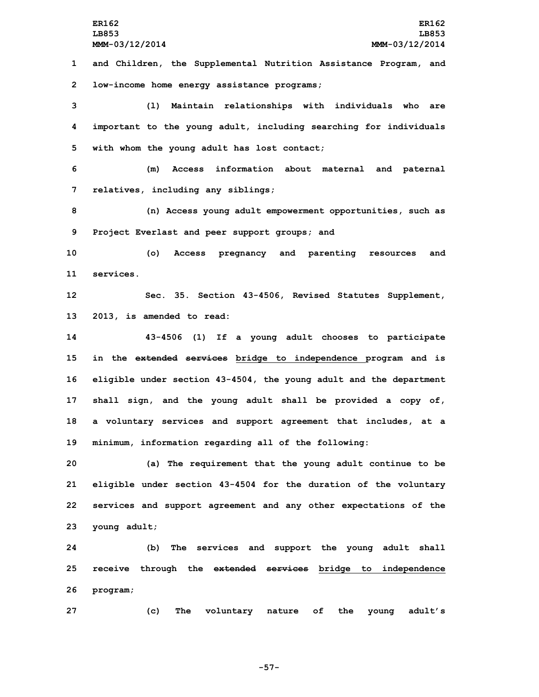**ER162 ER162 LB853 LB853 MMM-03/12/2014 MMM-03/12/2014 and Children, the Supplemental Nutrition Assistance Program, and low-income home energy assistance programs; (l) Maintain relationships with individuals who are important to the young adult, including searching for individuals with whom the young adult has lost contact; (m) Access information about maternal and paternal relatives, including any siblings; (n) Access young adult empowerment opportunities, such as Project Everlast and peer support groups; and (o) Access pregnancy and parenting resources and services. Sec. 35. Section 43-4506, Revised Statutes Supplement, 2013, is amended to read: 43-4506 (1) If <sup>a</sup> young adult chooses to participate in the extended services bridge to independence program and is eligible under section 43-4504, the young adult and the department shall sign, and the young adult shall be provided <sup>a</sup> copy of, <sup>a</sup> voluntary services and support agreement that includes, at <sup>a</sup> minimum, information regarding all of the following: (a) The requirement that the young adult continue to be eligible under section 43-4504 for the duration of the voluntary services and support agreement and any other expectations of the young adult; (b) The services and support the young adult shall receive through the extended services bridge to independence 26 program; (c) The voluntary nature of the young adult's**

**-57-**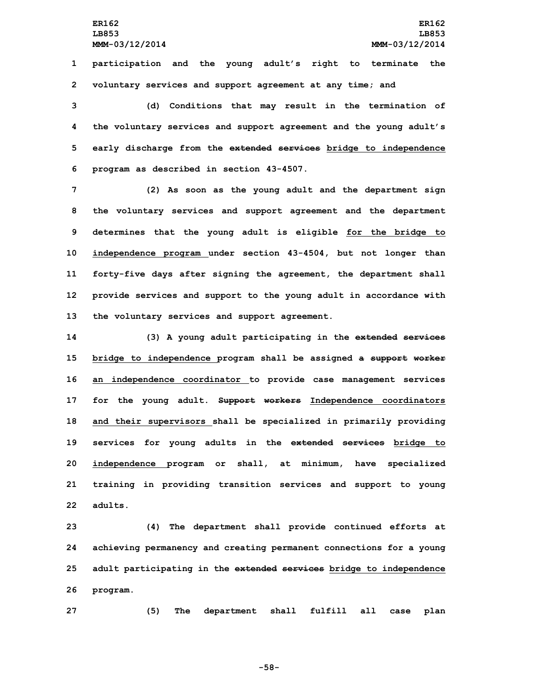**1 participation and the young adult's right to terminate the 2 voluntary services and support agreement at any time; and**

 **(d) Conditions that may result in the termination of the voluntary services and support agreement and the young adult's early discharge from the extended services bridge to independence program as described in section 43-4507.**

 **(2) As soon as the young adult and the department sign the voluntary services and support agreement and the department determines that the young adult is eligible for the bridge to independence program under section 43-4504, but not longer than forty-five days after signing the agreement, the department shall provide services and support to the young adult in accordance with the voluntary services and support agreement.**

 **(3) <sup>A</sup> young adult participating in the extended services bridge to independence program shall be assigned <sup>a</sup> support worker an independence coordinator to provide case management services for the young adult. Support workers Independence coordinators and their supervisors shall be specialized in primarily providing services for young adults in the extended services bridge to independence program or shall, at minimum, have specialized training in providing transition services and support to young 22 adults.**

 **(4) The department shall provide continued efforts at achieving permanency and creating permanent connections for <sup>a</sup> young adult participating in the extended services bridge to independence 26 program.**

**27 (5) The department shall fulfill all case plan**

**-58-**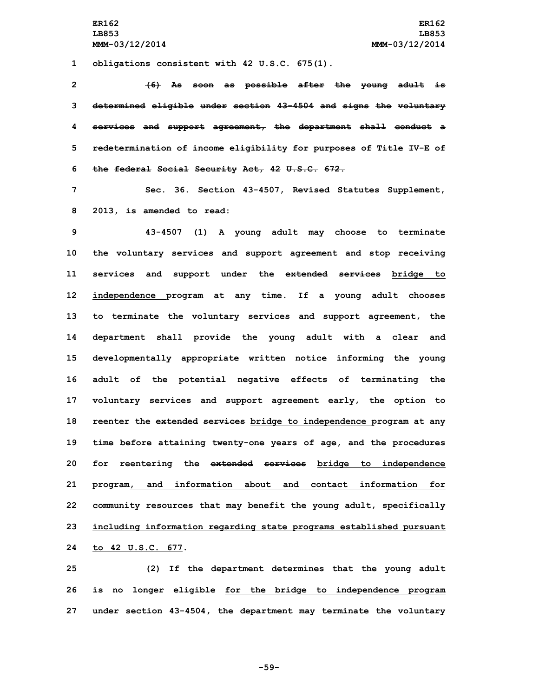**1 obligations consistent with 42 U.S.C. 675(1).**

 **(6) As soon as possible after the young adult is determined eligible under section 43-4504 and signs the voluntary services and support agreement, the department shall conduct <sup>a</sup> redetermination of income eligibility for purposes of Title IV-E of the federal Social Security Act, 42 U.S.C. 672.**

**7 Sec. 36. Section 43-4507, Revised Statutes Supplement, 8 2013, is amended to read:**

 **43-4507 (1) <sup>A</sup> young adult may choose to terminate the voluntary services and support agreement and stop receiving services and support under the extended services bridge to independence program at any time. If <sup>a</sup> young adult chooses to terminate the voluntary services and support agreement, the department shall provide the young adult with <sup>a</sup> clear and developmentally appropriate written notice informing the young adult of the potential negative effects of terminating the voluntary services and support agreement early, the option to reenter the extended services bridge to independence program at any time before attaining twenty-one years of age, and the procedures for reentering the extended services bridge to independence program, and information about and contact information for community resources that may benefit the young adult, specifically including information regarding state programs established pursuant to 42 U.S.C. 677.**

**25 (2) If the department determines that the young adult 26 is no longer eligible for the bridge to independence program 27 under section 43-4504, the department may terminate the voluntary**

**-59-**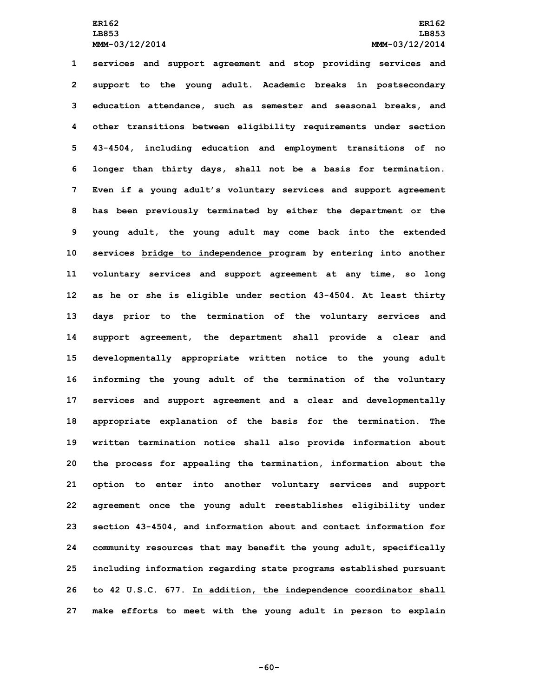**services and support agreement and stop providing services and support to the young adult. Academic breaks in postsecondary education attendance, such as semester and seasonal breaks, and other transitions between eligibility requirements under section 43-4504, including education and employment transitions of no longer than thirty days, shall not be <sup>a</sup> basis for termination. Even if <sup>a</sup> young adult's voluntary services and support agreement has been previously terminated by either the department or the young adult, the young adult may come back into the extended services bridge to independence program by entering into another voluntary services and support agreement at any time, so long as he or she is eligible under section 43-4504. At least thirty days prior to the termination of the voluntary services and support agreement, the department shall provide <sup>a</sup> clear and developmentally appropriate written notice to the young adult informing the young adult of the termination of the voluntary services and support agreement and <sup>a</sup> clear and developmentally appropriate explanation of the basis for the termination. The written termination notice shall also provide information about the process for appealing the termination, information about the option to enter into another voluntary services and support agreement once the young adult reestablishes eligibility under section 43-4504, and information about and contact information for community resources that may benefit the young adult, specifically including information regarding state programs established pursuant to 42 U.S.C. 677. In addition, the independence coordinator shall make efforts to meet with the young adult in person to explain**

**-60-**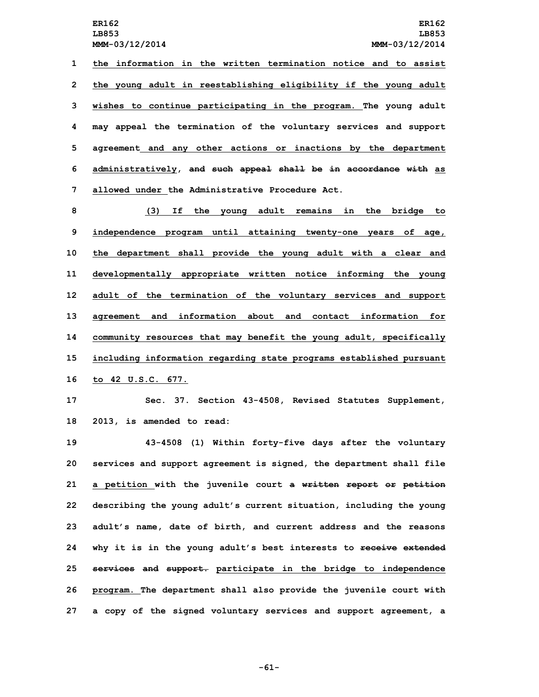**the information in the written termination notice and to assist the young adult in reestablishing eligibility if the young adult wishes to continue participating in the program. The young adult may appeal the termination of the voluntary services and support agreement and any other actions or inactions by the department administratively, and such appeal shall be in accordance with as allowed under the Administrative Procedure Act.**

 **(3) If the young adult remains in the bridge to independence program until attaining twenty-one years of age, the department shall provide the young adult with <sup>a</sup> clear and developmentally appropriate written notice informing the young adult of the termination of the voluntary services and support agreement and information about and contact information for community resources that may benefit the young adult, specifically including information regarding state programs established pursuant to 42 U.S.C. 677.**

**17 Sec. 37. Section 43-4508, Revised Statutes Supplement, 18 2013, is amended to read:**

 **43-4508 (1) Within forty-five days after the voluntary services and support agreement is signed, the department shall file <sup>a</sup> petition with the juvenile court <sup>a</sup> written report or petition describing the young adult's current situation, including the young adult's name, date of birth, and current address and the reasons why it is in the young adult's best interests to receive extended services and support. participate in the bridge to independence program. The department shall also provide the juvenile court with <sup>a</sup> copy of the signed voluntary services and support agreement, <sup>a</sup>**

**-61-**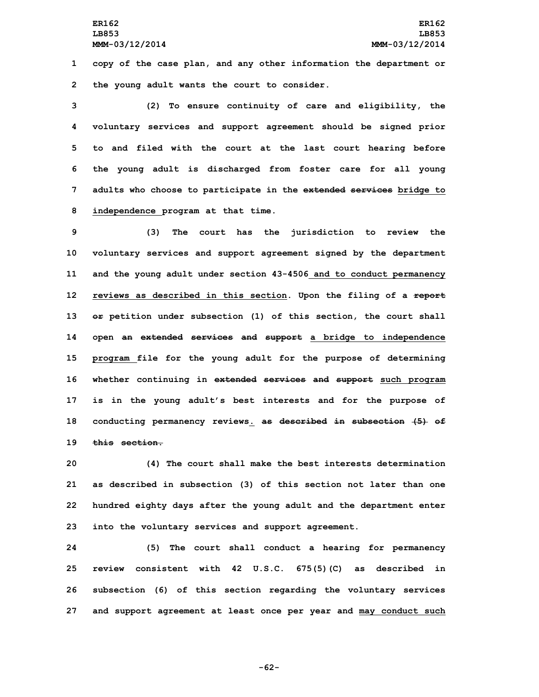**1 copy of the case plan, and any other information the department or 2 the young adult wants the court to consider.**

 **(2) To ensure continuity of care and eligibility, the voluntary services and support agreement should be signed prior to and filed with the court at the last court hearing before the young adult is discharged from foster care for all young adults who choose to participate in the extended services bridge to independence program at that time.**

 **(3) The court has the jurisdiction to review the voluntary services and support agreement signed by the department and the young adult under section 43-4506 and to conduct permanency reviews as described in this section. Upon the filing of <sup>a</sup> report or petition under subsection (1) of this section, the court shall open an extended services and support <sup>a</sup> bridge to independence program file for the young adult for the purpose of determining whether continuing in extended services and support such program is in the young adult's best interests and for the purpose of conducting permanency reviews. as described in subsection (5) of this section.**

 **(4) The court shall make the best interests determination as described in subsection (3) of this section not later than one hundred eighty days after the young adult and the department enter into the voluntary services and support agreement.**

 **(5) The court shall conduct <sup>a</sup> hearing for permanency review consistent with 42 U.S.C. 675(5)(C) as described in subsection (6) of this section regarding the voluntary services and support agreement at least once per year and may conduct such**

**-62-**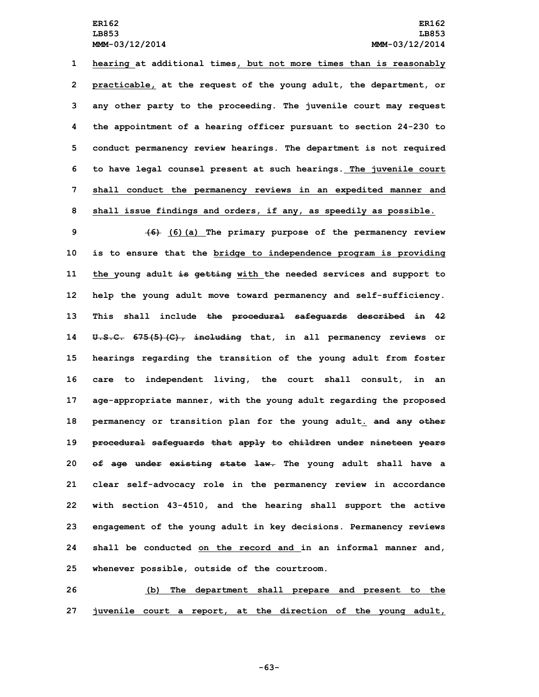**hearing at additional times, but not more times than is reasonably practicable, at the request of the young adult, the department, or any other party to the proceeding. The juvenile court may request the appointment of <sup>a</sup> hearing officer pursuant to section 24-230 to conduct permanency review hearings. The department is not required to have legal counsel present at such hearings. The juvenile court shall conduct the permanency reviews in an expedited manner and shall issue findings and orders, if any, as speedily as possible.**

 **(6) (6)(a) The primary purpose of the permanency review is to ensure that the bridge to independence program is providing the young adult is getting with the needed services and support to help the young adult move toward permanency and self-sufficiency. This shall include the procedural safeguards described in 42 U.S.C. 675(5)(C), including that, in all permanency reviews or hearings regarding the transition of the young adult from foster care to independent living, the court shall consult, in an age-appropriate manner, with the young adult regarding the proposed permanency or transition plan for the young adult. and any other procedural safeguards that apply to children under nineteen years of age under existing state law. The young adult shall have <sup>a</sup> clear self-advocacy role in the permanency review in accordance with section 43-4510, and the hearing shall support the active engagement of the young adult in key decisions. Permanency reviews shall be conducted on the record and in an informal manner and, whenever possible, outside of the courtroom.**

**26 (b) The department shall prepare and present to the 27 juvenile court <sup>a</sup> report, at the direction of the young adult,**

**-63-**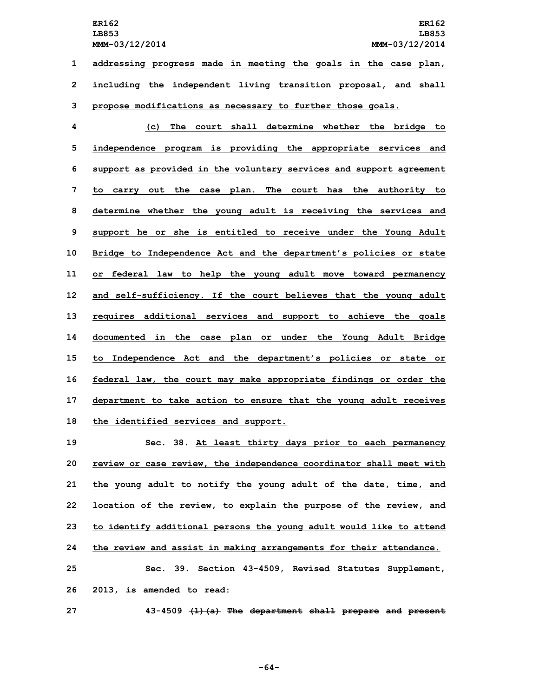**ER162 ER162 LB853 LB853 MMM-03/12/2014 MMM-03/12/2014 1 addressing progress made in meeting the goals in the case plan,**

**2 including the independent living transition proposal, and shall**

**3 propose modifications as necessary to further those goals.**

 **(c) The court shall determine whether the bridge to independence program is providing the appropriate services and support as provided in the voluntary services and support agreement to carry out the case plan. The court has the authority to determine whether the young adult is receiving the services and support he or she is entitled to receive under the Young Adult Bridge to Independence Act and the department's policies or state or federal law to help the young adult move toward permanency and self-sufficiency. If the court believes that the young adult requires additional services and support to achieve the goals documented in the case plan or under the Young Adult Bridge to Independence Act and the department's policies or state or federal law, the court may make appropriate findings or order the department to take action to ensure that the young adult receives the identified services and support.**

 **Sec. 38. At least thirty days prior to each permanency review or case review, the independence coordinator shall meet with the young adult to notify the young adult of the date, time, and location of the review, to explain the purpose of the review, and to identify additional persons the young adult would like to attend the review and assist in making arrangements for their attendance. Sec. 39. Section 43-4509, Revised Statutes Supplement, 2013, is amended to read:**

**27 43-4509 (1)(a) The department shall prepare and present**

**-64-**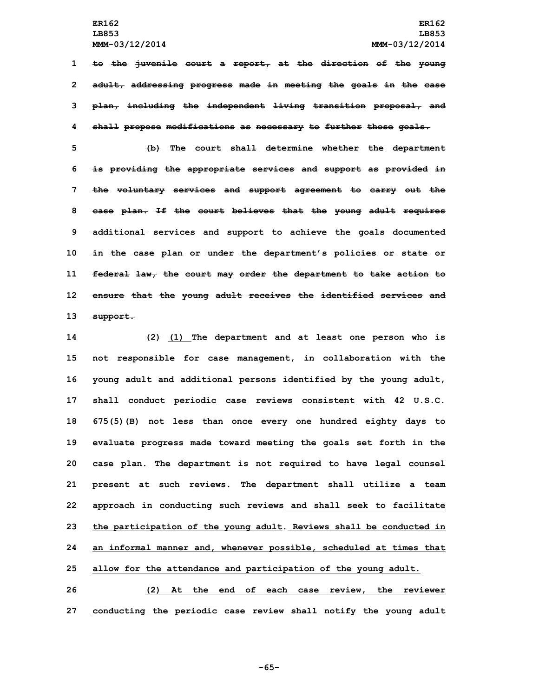**to the juvenile court <sup>a</sup> report, at the direction of the young adult, addressing progress made in meeting the goals in the case plan, including the independent living transition proposal, and shall propose modifications as necessary to further those goals.**

 **(b) The court shall determine whether the department is providing the appropriate services and support as provided in the voluntary services and support agreement to carry out the case plan. If the court believes that the young adult requires additional services and support to achieve the goals documented in the case plan or under the department's policies or state or federal law, the court may order the department to take action to ensure that the young adult receives the identified services and 13 support.**

 **(2) (1) The department and at least one person who is not responsible for case management, in collaboration with the young adult and additional persons identified by the young adult, shall conduct periodic case reviews consistent with 42 U.S.C. 675(5)(B) not less than once every one hundred eighty days to evaluate progress made toward meeting the goals set forth in the case plan. The department is not required to have legal counsel present at such reviews. The department shall utilize <sup>a</sup> team approach in conducting such reviews and shall seek to facilitate the participation of the young adult. Reviews shall be conducted in an informal manner and, whenever possible, scheduled at times that allow for the attendance and participation of the young adult.**

**26 (2) At the end of each case review, the reviewer 27 conducting the periodic case review shall notify the young adult**

**-65-**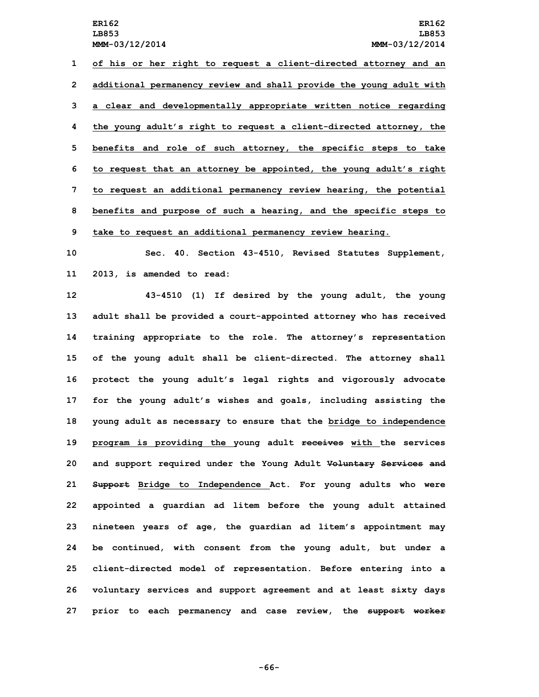**of his or her right to request <sup>a</sup> client-directed attorney and an additional permanency review and shall provide the young adult with <sup>a</sup> clear and developmentally appropriate written notice regarding the young adult's right to request <sup>a</sup> client-directed attorney, the benefits and role of such attorney, the specific steps to take to request that an attorney be appointed, the young adult's right to request an additional permanency review hearing, the potential benefits and purpose of such <sup>a</sup> hearing, and the specific steps to take to request an additional permanency review hearing.**

**10 Sec. 40. Section 43-4510, Revised Statutes Supplement, 11 2013, is amended to read:**

 **43-4510 (1) If desired by the young adult, the young adult shall be provided <sup>a</sup> court-appointed attorney who has received training appropriate to the role. The attorney's representation of the young adult shall be client-directed. The attorney shall protect the young adult's legal rights and vigorously advocate for the young adult's wishes and goals, including assisting the young adult as necessary to ensure that the bridge to independence program is providing the young adult receives with the services and support required under the Young Adult Voluntary Services and Support Bridge to Independence Act. For young adults who were appointed <sup>a</sup> guardian ad litem before the young adult attained nineteen years of age, the guardian ad litem's appointment may be continued, with consent from the young adult, but under <sup>a</sup> client-directed model of representation. Before entering into <sup>a</sup> voluntary services and support agreement and at least sixty days prior to each permanency and case review, the support worker**

**-66-**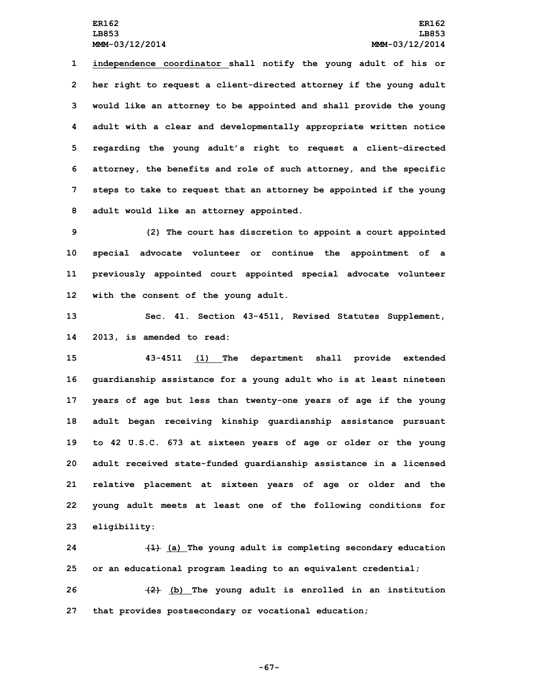**independence coordinator shall notify the young adult of his or her right to request <sup>a</sup> client-directed attorney if the young adult would like an attorney to be appointed and shall provide the young adult with <sup>a</sup> clear and developmentally appropriate written notice regarding the young adult's right to request <sup>a</sup> client-directed attorney, the benefits and role of such attorney, and the specific steps to take to request that an attorney be appointed if the young adult would like an attorney appointed.**

 **(2) The court has discretion to appoint <sup>a</sup> court appointed special advocate volunteer or continue the appointment of <sup>a</sup> previously appointed court appointed special advocate volunteer with the consent of the young adult.**

**13 Sec. 41. Section 43-4511, Revised Statutes Supplement, 14 2013, is amended to read:**

 **43-4511 (1) The department shall provide extended guardianship assistance for <sup>a</sup> young adult who is at least nineteen years of age but less than twenty-one years of age if the young adult began receiving kinship guardianship assistance pursuant to 42 U.S.C. 673 at sixteen years of age or older or the young adult received state-funded guardianship assistance in <sup>a</sup> licensed relative placement at sixteen years of age or older and the young adult meets at least one of the following conditions for eligibility:**

**24 (1) (a) The young adult is completing secondary education 25 or an educational program leading to an equivalent credential;**

**26 (2) (b) The young adult is enrolled in an institution 27 that provides postsecondary or vocational education;**

**-67-**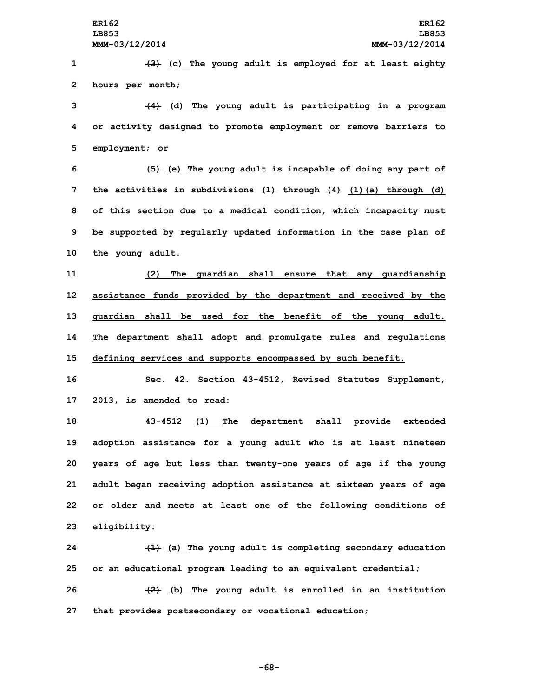**1 (3) (c) The young adult is employed for at least eighty 2 hours per month;**

**3 (4) (d) The young adult is participating in <sup>a</sup> program 4 or activity designed to promote employment or remove barriers to 5 employment; or**

 **(5) (e) The young adult is incapable of doing any part of the activities in subdivisions (1) through (4) (1)(a) through (d) of this section due to <sup>a</sup> medical condition, which incapacity must be supported by regularly updated information in the case plan of the young adult.**

 **(2) The guardian shall ensure that any guardianship assistance funds provided by the department and received by the guardian shall be used for the benefit of the young adult. The department shall adopt and promulgate rules and regulations defining services and supports encompassed by such benefit.**

**16 Sec. 42. Section 43-4512, Revised Statutes Supplement, 17 2013, is amended to read:**

 **43-4512 (1) The department shall provide extended adoption assistance for <sup>a</sup> young adult who is at least nineteen years of age but less than twenty-one years of age if the young adult began receiving adoption assistance at sixteen years of age or older and meets at least one of the following conditions of eligibility:**

**24 (1) (a) The young adult is completing secondary education 25 or an educational program leading to an equivalent credential;**

**26 (2) (b) The young adult is enrolled in an institution 27 that provides postsecondary or vocational education;**

**-68-**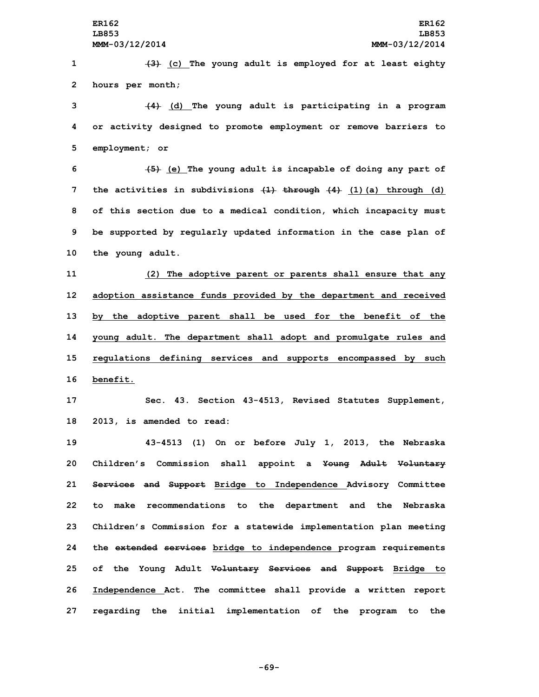**1 (3) (c) The young adult is employed for at least eighty 2 hours per month;**

**3 (4) (d) The young adult is participating in <sup>a</sup> program 4 or activity designed to promote employment or remove barriers to 5 employment; or**

 **(5) (e) The young adult is incapable of doing any part of the activities in subdivisions (1) through (4) (1)(a) through (d) of this section due to <sup>a</sup> medical condition, which incapacity must be supported by regularly updated information in the case plan of the young adult.**

 **(2) The adoptive parent or parents shall ensure that any adoption assistance funds provided by the department and received by the adoptive parent shall be used for the benefit of the young adult. The department shall adopt and promulgate rules and regulations defining services and supports encompassed by such 16 benefit.**

**17 Sec. 43. Section 43-4513, Revised Statutes Supplement, 18 2013, is amended to read:**

 **43-4513 (1) On or before July 1, 2013, the Nebraska Children's Commission shall appoint <sup>a</sup> Young Adult Voluntary Services and Support Bridge to Independence Advisory Committee to make recommendations to the department and the Nebraska Children's Commission for <sup>a</sup> statewide implementation plan meeting the extended services bridge to independence program requirements of the Young Adult Voluntary Services and Support Bridge to Independence Act. The committee shall provide <sup>a</sup> written report regarding the initial implementation of the program to the**

**-69-**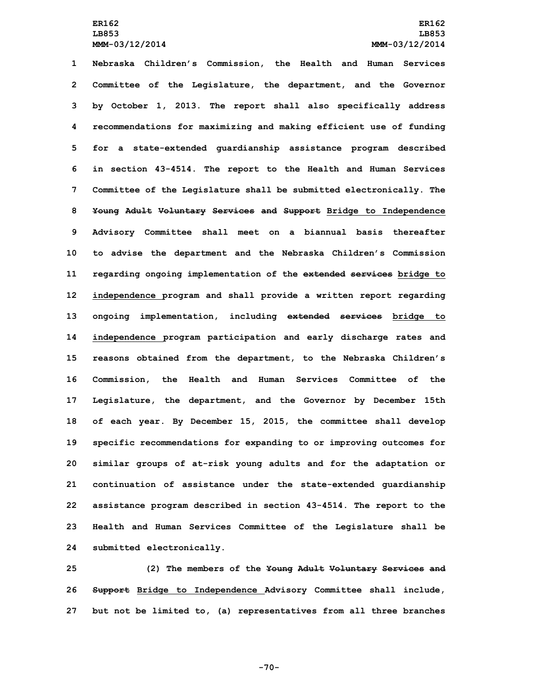**Nebraska Children's Commission, the Health and Human Services Committee of the Legislature, the department, and the Governor by October 1, 2013. The report shall also specifically address recommendations for maximizing and making efficient use of funding for <sup>a</sup> state-extended guardianship assistance program described in section 43-4514. The report to the Health and Human Services Committee of the Legislature shall be submitted electronically. The Young Adult Voluntary Services and Support Bridge to Independence Advisory Committee shall meet on <sup>a</sup> biannual basis thereafter to advise the department and the Nebraska Children's Commission regarding ongoing implementation of the extended services bridge to independence program and shall provide <sup>a</sup> written report regarding ongoing implementation, including extended services bridge to independence program participation and early discharge rates and reasons obtained from the department, to the Nebraska Children's Commission, the Health and Human Services Committee of the Legislature, the department, and the Governor by December 15th of each year. By December 15, 2015, the committee shall develop specific recommendations for expanding to or improving outcomes for similar groups of at-risk young adults and for the adaptation or continuation of assistance under the state-extended guardianship assistance program described in section 43-4514. The report to the Health and Human Services Committee of the Legislature shall be submitted electronically.**

**25 (2) The members of the Young Adult Voluntary Services and 26 Support Bridge to Independence Advisory Committee shall include, 27 but not be limited to, (a) representatives from all three branches**

**-70-**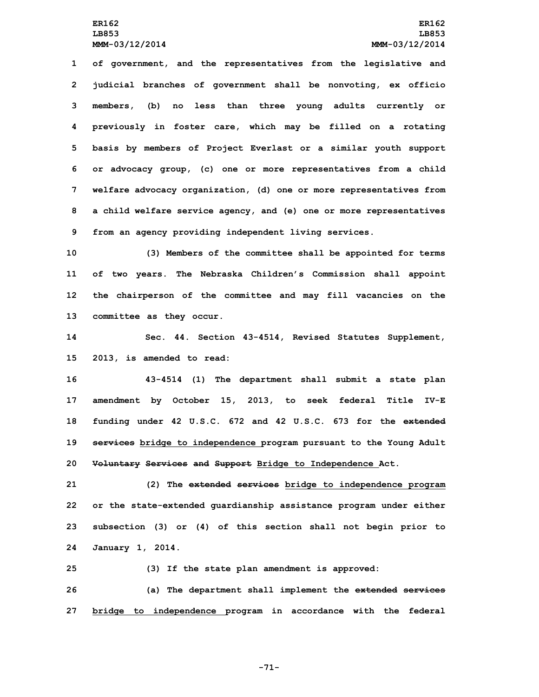**of government, and the representatives from the legislative and judicial branches of government shall be nonvoting, ex officio members, (b) no less than three young adults currently or previously in foster care, which may be filled on <sup>a</sup> rotating basis by members of Project Everlast or <sup>a</sup> similar youth support or advocacy group, (c) one or more representatives from <sup>a</sup> child welfare advocacy organization, (d) one or more representatives from <sup>a</sup> child welfare service agency, and (e) one or more representatives from an agency providing independent living services.**

 **(3) Members of the committee shall be appointed for terms of two years. The Nebraska Children's Commission shall appoint the chairperson of the committee and may fill vacancies on the committee as they occur.**

**14 Sec. 44. Section 43-4514, Revised Statutes Supplement, 15 2013, is amended to read:**

 **43-4514 (1) The department shall submit <sup>a</sup> state plan amendment by October 15, 2013, to seek federal Title IV-E funding under 42 U.S.C. 672 and 42 U.S.C. 673 for the extended services bridge to independence program pursuant to the Young Adult Voluntary Services and Support Bridge to Independence Act.**

 **(2) The extended services bridge to independence program or the state-extended guardianship assistance program under either subsection (3) or (4) of this section shall not begin prior to January 1, 2014.**

**25 (3) If the state plan amendment is approved:**

**26 (a) The department shall implement the extended services 27 bridge to independence program in accordance with the federal**

**-71-**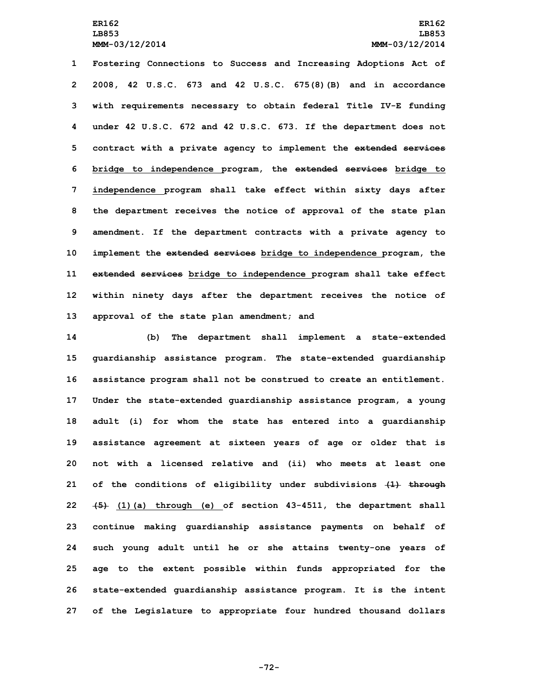**Fostering Connections to Success and Increasing Adoptions Act of 2008, 42 U.S.C. 673 and 42 U.S.C. 675(8)(B) and in accordance with requirements necessary to obtain federal Title IV-E funding under 42 U.S.C. 672 and 42 U.S.C. 673. If the department does not contract with <sup>a</sup> private agency to implement the extended services bridge to independence program, the extended services bridge to independence program shall take effect within sixty days after the department receives the notice of approval of the state plan amendment. If the department contracts with <sup>a</sup> private agency to implement the extended services bridge to independence program, the extended services bridge to independence program shall take effect within ninety days after the department receives the notice of approval of the state plan amendment; and**

 **(b) The department shall implement <sup>a</sup> state-extended guardianship assistance program. The state-extended guardianship assistance program shall not be construed to create an entitlement. Under the state-extended guardianship assistance program, <sup>a</sup> young adult (i) for whom the state has entered into <sup>a</sup> guardianship assistance agreement at sixteen years of age or older that is not with <sup>a</sup> licensed relative and (ii) who meets at least one of the conditions of eligibility under subdivisions (1) through (5) (1)(a) through (e) of section 43-4511, the department shall continue making guardianship assistance payments on behalf of such young adult until he or she attains twenty-one years of age to the extent possible within funds appropriated for the state-extended guardianship assistance program. It is the intent of the Legislature to appropriate four hundred thousand dollars**

**-72-**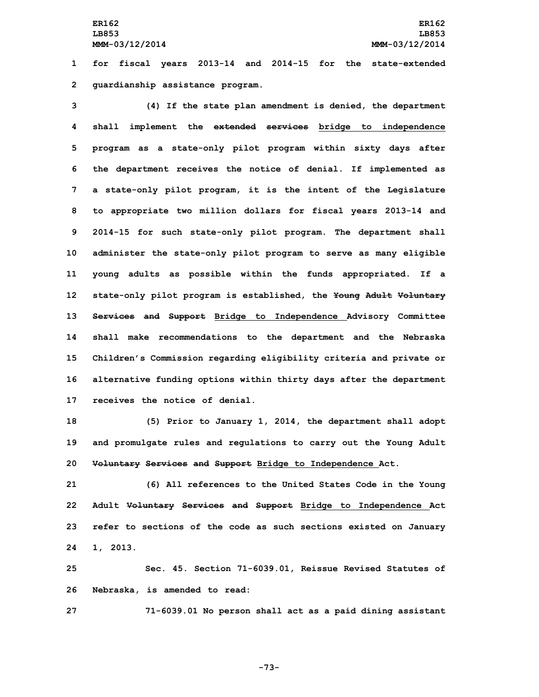**1 for fiscal years 2013-14 and 2014-15 for the state-extended 2 guardianship assistance program.**

 **(4) If the state plan amendment is denied, the department shall implement the extended services bridge to independence program as <sup>a</sup> state-only pilot program within sixty days after the department receives the notice of denial. If implemented as <sup>a</sup> state-only pilot program, it is the intent of the Legislature to appropriate two million dollars for fiscal years 2013-14 and 2014-15 for such state-only pilot program. The department shall administer the state-only pilot program to serve as many eligible young adults as possible within the funds appropriated. If <sup>a</sup> state-only pilot program is established, the Young Adult Voluntary Services and Support Bridge to Independence Advisory Committee shall make recommendations to the department and the Nebraska Children's Commission regarding eligibility criteria and private or alternative funding options within thirty days after the department receives the notice of denial.**

**18 (5) Prior to January 1, 2014, the department shall adopt 19 and promulgate rules and regulations to carry out the Young Adult 20 Voluntary Services and Support Bridge to Independence Act.**

 **(6) All references to the United States Code in the Young Adult Voluntary Services and Support Bridge to Independence Act refer to sections of the code as such sections existed on January 24 1, 2013.**

**25 Sec. 45. Section 71-6039.01, Reissue Revised Statutes of 26 Nebraska, is amended to read:**

**27 71-6039.01 No person shall act as <sup>a</sup> paid dining assistant**

**-73-**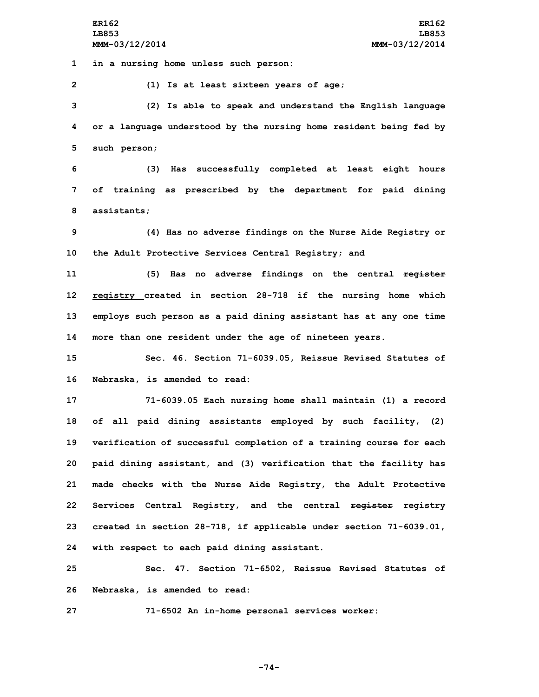**ER162 ER162 LB853 LB853 MMM-03/12/2014 MMM-03/12/2014**

**1 in <sup>a</sup> nursing home unless such person:**

**2 (1) Is at least sixteen years of age;**

**3 (2) Is able to speak and understand the English language 4 or <sup>a</sup> language understood by the nursing home resident being fed by 5 such person;**

**6 (3) Has successfully completed at least eight hours 7 of training as prescribed by the department for paid dining 8 assistants;**

**9 (4) Has no adverse findings on the Nurse Aide Registry or 10 the Adult Protective Services Central Registry; and**

 **(5) Has no adverse findings on the central register registry created in section 28-718 if the nursing home which employs such person as <sup>a</sup> paid dining assistant has at any one time more than one resident under the age of nineteen years.**

**15 Sec. 46. Section 71-6039.05, Reissue Revised Statutes of 16 Nebraska, is amended to read:**

 **71-6039.05 Each nursing home shall maintain (1) <sup>a</sup> record of all paid dining assistants employed by such facility, (2) verification of successful completion of <sup>a</sup> training course for each paid dining assistant, and (3) verification that the facility has made checks with the Nurse Aide Registry, the Adult Protective Services Central Registry, and the central register registry created in section 28-718, if applicable under section 71-6039.01, with respect to each paid dining assistant.**

**25 Sec. 47. Section 71-6502, Reissue Revised Statutes of 26 Nebraska, is amended to read:**

**27 71-6502 An in-home personal services worker:**

**-74-**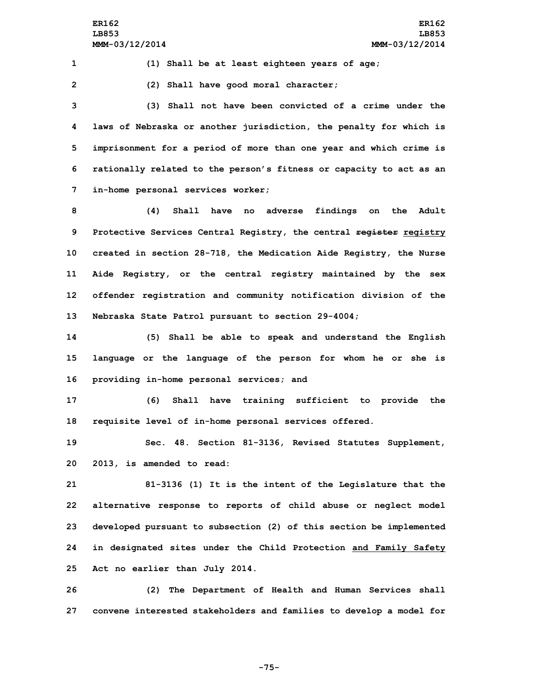**1 (1) Shall be at least eighteen years of age;**

**2 (2) Shall have good moral character;**

 **(3) Shall not have been convicted of <sup>a</sup> crime under the laws of Nebraska or another jurisdiction, the penalty for which is imprisonment for <sup>a</sup> period of more than one year and which crime is rationally related to the person's fitness or capacity to act as an in-home personal services worker;**

 **(4) Shall have no adverse findings on the Adult Protective Services Central Registry, the central register registry created in section 28-718, the Medication Aide Registry, the Nurse Aide Registry, or the central registry maintained by the sex offender registration and community notification division of the Nebraska State Patrol pursuant to section 29-4004;**

**14 (5) Shall be able to speak and understand the English 15 language or the language of the person for whom he or she is 16 providing in-home personal services; and**

**17 (6) Shall have training sufficient to provide the 18 requisite level of in-home personal services offered.**

**19 Sec. 48. Section 81-3136, Revised Statutes Supplement, 20 2013, is amended to read:**

 **81-3136 (1) It is the intent of the Legislature that the alternative response to reports of child abuse or neglect model developed pursuant to subsection (2) of this section be implemented in designated sites under the Child Protection and Family Safety Act no earlier than July 2014.**

**26 (2) The Department of Health and Human Services shall 27 convene interested stakeholders and families to develop <sup>a</sup> model for**

**-75-**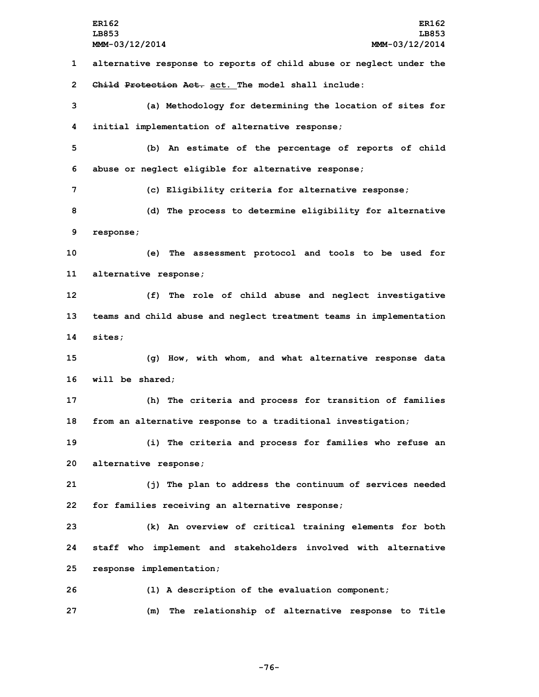**MMM-03/12/2014 MMM-03/12/2014 alternative response to reports of child abuse or neglect under the Child Protection Act. act. The model shall include: (a) Methodology for determining the location of sites for initial implementation of alternative response; (b) An estimate of the percentage of reports of child abuse or neglect eligible for alternative response; (c) Eligibility criteria for alternative response; (d) The process to determine eligibility for alternative response; (e) The assessment protocol and tools to be used for alternative response; (f) The role of child abuse and neglect investigative teams and child abuse and neglect treatment teams in implementation 14 sites; (g) How, with whom, and what alternative response data will be shared; (h) The criteria and process for transition of families from an alternative response to <sup>a</sup> traditional investigation; (i) The criteria and process for families who refuse an alternative response; (j) The plan to address the continuum of services needed for families receiving an alternative response; (k) An overview of critical training elements for both staff who implement and stakeholders involved with alternative response implementation; (l) <sup>A</sup> description of the evaluation component; (m) The relationship of alternative response to Title**

**-76-**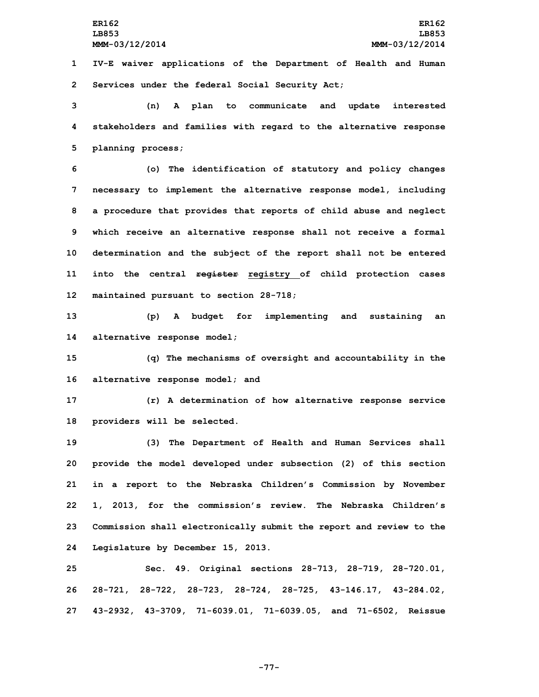**1 IV-E waiver applications of the Department of Health and Human 2 Services under the federal Social Security Act;**

**3 (n) <sup>A</sup> plan to communicate and update interested 4 stakeholders and families with regard to the alternative response 5 planning process;**

 **(o) The identification of statutory and policy changes necessary to implement the alternative response model, including <sup>a</sup> procedure that provides that reports of child abuse and neglect which receive an alternative response shall not receive <sup>a</sup> formal determination and the subject of the report shall not be entered into the central register registry of child protection cases maintained pursuant to section 28-718;**

**13 (p) <sup>A</sup> budget for implementing and sustaining an 14 alternative response model;**

**15 (q) The mechanisms of oversight and accountability in the 16 alternative response model; and**

**17 (r) <sup>A</sup> determination of how alternative response service 18 providers will be selected.**

 **(3) The Department of Health and Human Services shall provide the model developed under subsection (2) of this section in <sup>a</sup> report to the Nebraska Children's Commission by November 1, 2013, for the commission's review. The Nebraska Children's Commission shall electronically submit the report and review to the Legislature by December 15, 2013.**

**25 Sec. 49. Original sections 28-713, 28-719, 28-720.01, 26 28-721, 28-722, 28-723, 28-724, 28-725, 43-146.17, 43-284.02, 27 43-2932, 43-3709, 71-6039.01, 71-6039.05, and 71-6502, Reissue**

**-77-**